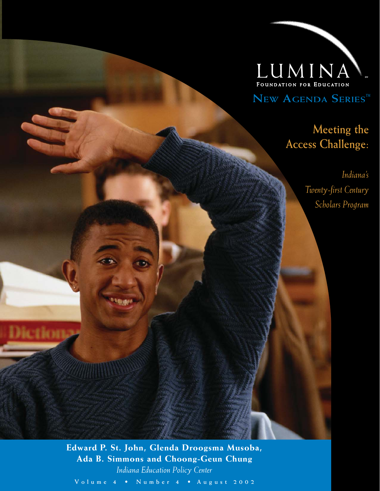

**NEW AGENDA SERIES™**

### **Meeting the Access Challenge:**

*Indiana's Twenty-first Century Scholars Program*

**Edward P. St. John, Glenda Droogsma Musoba, Ada B. Simmons and Choong-Geun Chung** *Indiana Education Policy Center*

Dictiona

**V o l u m e 4 • N u m b e r 4 • A u g u s t 2 0 0 2**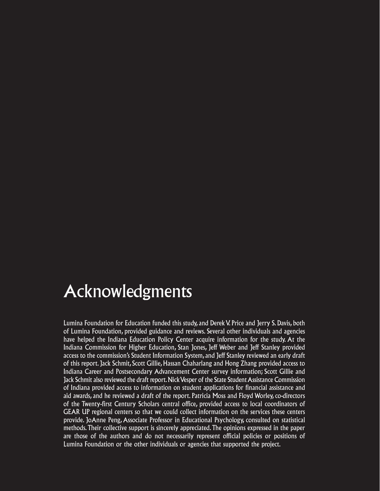### Acknowledgments

Lumina Foundation for Education funded this study, and Derek V. Price and Jerry S. Davis, both of Lumina Foundation, provided guidance and reviews. Several other individuals and agencies have helped the Indiana Education Policy Center acquire information for the study. At the Indiana Commission for Higher Education, Stan Jones, Jeff Weber and Jeff Stanley provided access to the commission's Student Information System, and Jeff Stanley reviewed an early draft of this report. Jack Schmit, Scott Gillie, Hassan Chaharlang and Hong Zhang provided access to Indiana Career and Postsecondary Advancement Center survey information; Scott Gillie and Jack Schmit also reviewed the draft report. Nick Vesper of the State Student Assistance Commission of Indiana provided access to information on student applications for financial assistance and aid awards, and he reviewed a draft of the report. Patricia Moss and Floyd Worley, co-directors of the Twenty-first Century Scholars central office, provided access to local coordinators of GEAR UP regional centers so that we could collect information on the services these centers provide. JoAnne Peng, Associate Professor in Educational Psychology, consulted on statistical methods. Their collective support is sincerely appreciated. The opinions expressed in the paper are those of the authors and do not necessarily represent official policies or positions of Lumina Foundation or the other individuals or agencies that supported the project.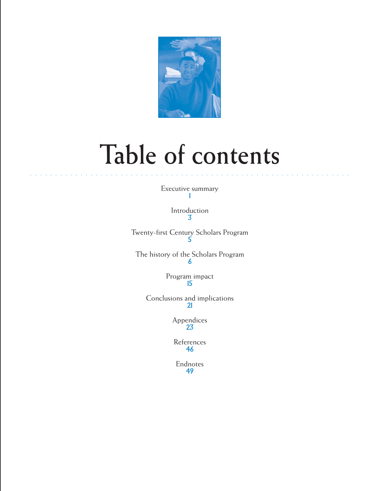

# **Table of contents**

Executive summary 1

○○○○○○○○○○○ ○○○○○○○○○○○○○○○○○○○○○○○○○○○○○○○○○○○○○○○○○○○○○○○○○○○○○

Introduction 3

Twenty-first Century Scholars Program 5

The history of the Scholars Program 6

> Program impact 15

Conclusions and implications 21

> Appendices 23

References 46

Endnotes 49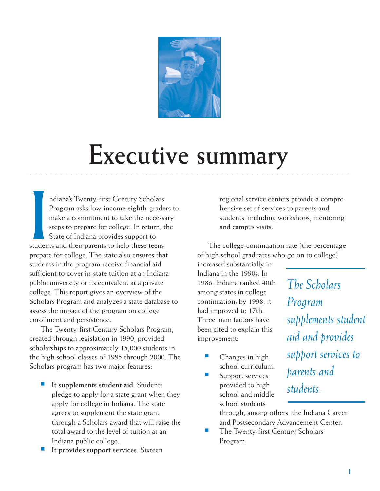

# **Executive summary**

○○○○○○○○○○○ ○○○○○○○○○○○○○○○○○○○○○○○○○○○○○○○○○○○○○○○○○○○○○○○○○○○○○

ndiana's Twenty-first Century Scholars<br>Program asks low-income eighth-grade<br>make a commitment to take the necess<br>steps to prepare for college. In return,<br>State of Indiana provides support to<br>students and their parents to h ndiana's Twenty-first Century Scholars Program asks low-income eighth-graders to make a commitment to take the necessary steps to prepare for college. In return, the State of Indiana provides support to prepare for college. The state also ensures that students in the program receive financial aid sufficient to cover in-state tuition at an Indiana public university or its equivalent at a private college. This report gives an overview of the Scholars Program and analyzes a state database to assess the impact of the program on college enrollment and persistence.

The Twenty-first Century Scholars Program, created through legislation in 1990, provided scholarships to approximately 15,000 students in the high school classes of 1995 through 2000. The Scholars program has two major features:

- It supplements student aid. Students pledge to apply for a state grant when they apply for college in Indiana. The state agrees to supplement the state grant through a Scholars award that will raise the total award to the level of tuition at an Indiana public college.
- It provides support services. Sixteen

regional service centers provide a comprehensive set of services to parents and students, including workshops, mentoring and campus visits.

The college-continuation rate (the percentage of high school graduates who go on to college)

increased substantially in Indiana in the 1990s. In 1986, Indiana ranked 40th among states in college continuation; by 1998, it had improved to 17th. Three main factors have been cited to explain this improvement:

- Changes in high school curriculum.
- Support services provided to high school and middle school students

*The Scholars Program supplements student aid and provides support services to parents and students.*

through, among others, the Indiana Career and Postsecondary Advancement Center.

The Twenty-first Century Scholars Program.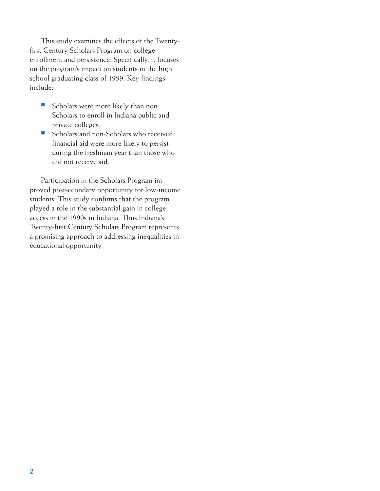This study examines the effects of the Twentyfirst Century Scholars Program on college enrollment and persistence. Specifically, it focuses on the program's impact on students in the high school graduating class of 1999. Key findings include:

- Scholars were more likely than non-Scholars to enroll in Indiana public and private colleges.
- Scholars and non-Scholars who received financial aid were more likely to persist during the freshman year than those who did not receive aid.

Participation in the Scholars Program improved postsecondary opportunity for low-income students. This study confirms that the program played a role in the substantial gain in college access in the 1990s in Indiana. Thus Indiana's Twenty-first Century Scholars Program represents a promising approach to addressing inequalities in educational opportunity.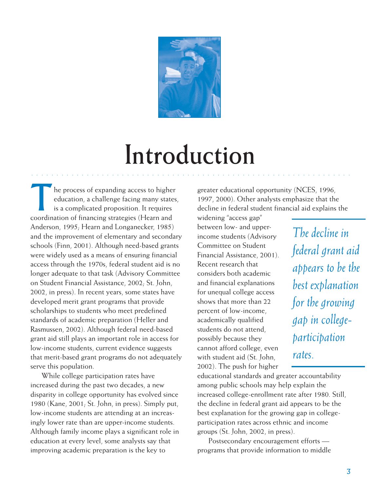

# **Introduction**

○○○○○○○○○○○○ ○○○○○○○○○○○○○○○○○○○○○○○○○○○○○○○○○○○○○○○○○○○○○○○○○○○○

he process of expanding access to higher education, a challenge facing many states, is a complicated proposition. It requires coordination of financing strategies (Hearn and Anderson, 1995; Hearn and Longanecker, 1985) and the improvement of elementary and secondary schools (Finn, 2001). Although need-based grants were widely used as a means of ensuring financial access through the 1970s, federal student aid is no longer adequate to that task (Advisory Committee on Student Financial Assistance, 2002; St. John, 2002, in press). In recent years, some states have developed merit grant programs that provide scholarships to students who meet predefined standards of academic preparation (Heller and Rasmussen, 2002). Although federal need-based grant aid still plays an important role in access for low-income students, current evidence suggests that merit-based grant programs do not adequately serve this population.

While college participation rates have increased during the past two decades, a new disparity in college opportunity has evolved since 1980 (Kane, 2001; St. John, in press). Simply put, low-income students are attending at an increasingly lower rate than are upper-income students. Although family income plays a significant role in education at every level, some analysts say that improving academic preparation is the key to

greater educational opportunity (NCES, 1996, 1997, 2000). Other analysts emphasize that the decline in federal student financial aid explains the

widening "access gap" between low- and upperincome students (Advisory Committee on Student Financial Assistance, 2001). Recent research that considers both academic and financial explanations for unequal college access shows that more than 22 percent of low-income, academically qualified students do not attend, possibly because they cannot afford college, even with student aid (St. John, 2002). The push for higher

*The decline in federal grant aid appears to be the best explanation for the growing gap in collegeparticipation rates.*

educational standards and greater accountability among public schools may help explain the increased college-enrollment rate after 1980. Still, the decline in federal grant aid appears to be the best explanation for the growing gap in collegeparticipation rates across ethnic and income groups (St. John, 2002, in press).

Postsecondary encouragement efforts programs that provide information to middle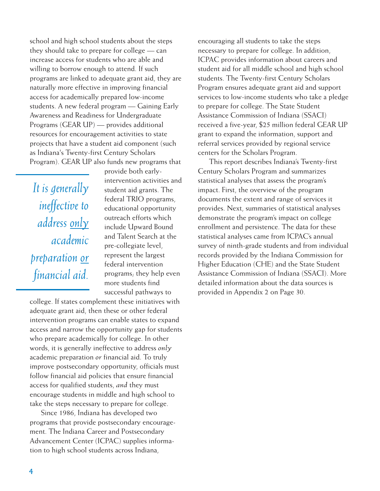school and high school students about the steps they should take to prepare for college — can increase access for students who are able and willing to borrow enough to attend. If such programs are linked to adequate grant aid, they are naturally more effective in improving financial access for academically prepared low-income students. A new federal program — Gaining Early Awareness and Readiness for Undergraduate Programs (GEAR UP) — provides additional resources for encouragement activities to state projects that have a student aid component (such as Indiana's Twenty-first Century Scholars Program). GEAR UP also funds new programs that

*It is generally ineffective to address only academic preparation or financial aid.*

provide both earlyintervention activities and student aid grants. The federal TRIO programs, educational opportunity outreach efforts which include Upward Bound and Talent Search at the pre-collegiate level, represent the largest federal intervention programs; they help even more students find successful pathways to

college. If states complement these initiatives with adequate grant aid, then these or other federal intervention programs can enable states to expand access and narrow the opportunity gap for students who prepare academically for college. In other words, it is generally ineffective to address *only* academic preparation *or* financial aid. To truly improve postsecondary opportunity, officials must follow financial aid policies that ensure financial access for qualified students, *and* they must encourage students in middle and high school to take the steps necessary to prepare for college.

Since 1986, Indiana has developed two programs that provide postsecondary encouragement. The Indiana Career and Postsecondary Advancement Center (ICPAC) supplies information to high school students across Indiana,

encouraging all students to take the steps necessary to prepare for college. In addition, ICPAC provides information about careers and student aid for all middle school and high school students. The Twenty-first Century Scholars Program ensures adequate grant aid and support services to low-income students who take a pledge to prepare for college. The State Student Assistance Commission of Indiana (SSACI) received a five-year, \$25 million federal GEAR UP grant to expand the information, support and referral services provided by regional service centers for the Scholars Program.

This report describes Indiana's Twenty-first Century Scholars Program and summarizes statistical analyses that assess the program's impact. First, the overview of the program documents the extent and range of services it provides. Next, summaries of statistical analyses demonstrate the program's impact on college enrollment and persistence. The data for these statistical analyses came from ICPAC's annual survey of ninth-grade students and from individual records provided by the Indiana Commission for Higher Education (CHE) and the State Student Assistance Commission of Indiana (SSACI). More detailed information about the data sources is provided in Appendix 2 on Page 30.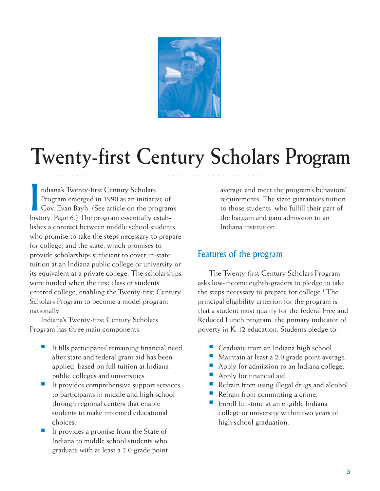

## **Twenty-first Century Scholars Program**

○○○○○○○○○○○○ ○○○○○○○○○○○○○○○○○○○○○○○○○○○○○○○○○○○○○○○○○○○○○○○○○○○○

I ndiana's Twenty-first Century Scholars Program emerged in 1990 as an initiative of Gov. Evan Bayh. (See article on the program's history, Page 6.) The program essentially establishes a contract between middle school students, who promise to take the steps necessary to prepare for college, and the state, which promises to provide scholarships sufficient to cover in-state tuition at an Indiana public college or university or its equivalent at a private college. The scholarships were funded when the first class of students entered college, enabling the Twenty-first Century Scholars Program to become a model program nationally.

Indiana's Twenty-first Century Scholars Program has three main components:

- It fills participants' remaining financial need after state and federal grant aid has been applied, based on full tuition at Indiana public colleges and universities.
- It provides comprehensive support services to participants in middle and high school through regional centers that enable students to make informed educational choices.
- It provides a promise from the State of Indiana to middle school students who graduate with at least a 2.0 grade point

average and meet the program's behavioral requirements. The state guarantees tuition to those students who fulfill their part of the bargain and gain admission to an Indiana institution.

#### Features of the program

The Twenty-first Century Scholars Program asks low-income eighth-graders to pledge to take the steps necessary to prepare for college.<sup>1</sup> The principal eligibility criterion for the program is that a student must qualify for the federal Free and Reduced Lunch program, the primary indicator of poverty in K-12 education. Students pledge to:

- Graduate from an Indiana high school.
- Maintain at least a 2.0 grade point average.
- Apply for admission to an Indiana college.
- Apply for financial aid.
- Refrain from using illegal drugs and alcohol.
- Refrain from committing a crime.
- Enroll full-time at an eligible Indiana college or university within two years of high school graduation.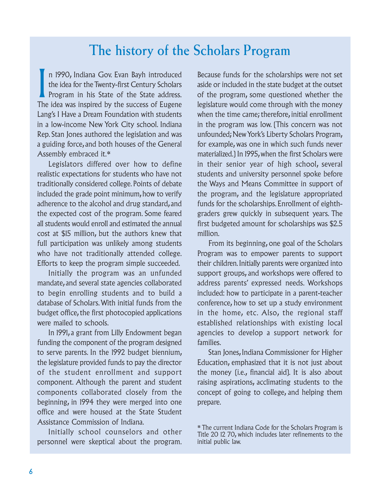### **The history of the Scholars Program**

I n 1990, Indiana Gov. Evan Bayh introduced the idea for the Twenty-first Century Scholars Program in his State of the State address. The idea was inspired by the success of Eugene Lang's I Have a Dream Foundation with students in a low-income New York City school. Indiana Rep. Stan Jones authored the legislation and was a guiding force, and both houses of the General Assembly embraced it.\*

Legislators differed over how to define realistic expectations for students who have not traditionally considered college. Points of debate included the grade point minimum, how to verify adherence to the alcohol and drug standard, and the expected cost of the program. Some feared all students would enroll and estimated the annual cost at \$15 million, but the authors knew that full participation was unlikely among students who have not traditionally attended college. Efforts to keep the program simple succeeded.

Initially the program was an unfunded mandate, and several state agencies collaborated to begin enrolling students and to build a database of Scholars. With initial funds from the budget office, the first photocopied applications were mailed to schools.

In 1991, a grant from Lilly Endowment began funding the component of the program designed to serve parents. In the 1992 budget biennium, the legislature provided funds to pay the director of the student enrollment and support component. Although the parent and student components collaborated closely from the beginning, in 1994 they were merged into one office and were housed at the State Student Assistance Commission of Indiana.

Initially school counselors and other personnel were skeptical about the program. Because funds for the scholarships were not set aside or included in the state budget at the outset of the program, some questioned whether the legislature would come through with the money when the time came; therefore, initial enrollment in the program was low. (This concern was not unfounded; New York's Liberty Scholars Program, for example, was one in which such funds never materialized.) In 1995, when the first Scholars were in their senior year of high school, several students and university personnel spoke before the Ways and Means Committee in support of the program, and the legislature appropriated funds for the scholarships. Enrollment of eighthgraders grew quickly in subsequent years. The first budgeted amount for scholarships was \$2.5 million.

From its beginning, one goal of the Scholars Program was to empower parents to support their children. Initially parents were organized into support groups, and workshops were offered to address parents' expressed needs. Workshops included: how to participate in a parent-teacher conference, how to set up a study environment in the home, etc. Also, the regional staff established relationships with existing local agencies to develop a support network for families.

Stan Jones, Indiana Commissioner for Higher Education, emphasized that it is not just about the money (i.e., financial aid). It is also about raising aspirations, acclimating students to the concept of going to college, and helping them prepare.

<sup>\*</sup> The current Indiana Code for the Scholars Program is Title 20 12 70, which includes later refinements to the initial public law.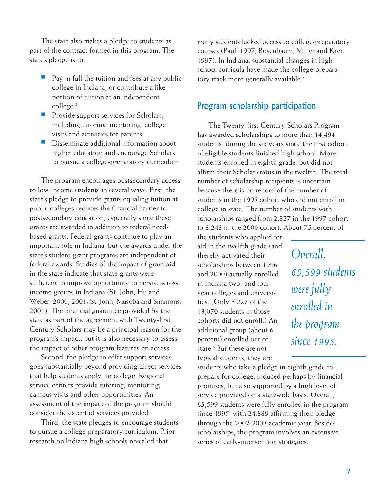The state also makes a pledge to students as part of the contract formed in this program. The state's pledge is to:

- Pay in full the tuition and fees at any public college in Indiana, or contribute a like portion of tuition at an independent college.2
- Provide support services for Scholars, including tutoring, mentoring, college visits and activities for parents.
- Disseminate additional information about higher education and encourage Scholars to pursue a college-preparatory curriculum.

The program encourages postsecondary access to low-income students in several ways. First, the state's pledge to provide grants equaling tuition at public colleges reduces the financial barrier to postsecondary education, especially since these grants are awarded in addition to federal needbased grants. Federal grants continue to play an important role in Indiana, but the awards under the state's student grant programs are independent of federal awards. Studies of the impact of grant aid in the state indicate that state grants were sufficient to improve opportunity to persist across income groups in Indiana (St. John, Hu and Weber, 2000, 2001; St. John, Musoba and Simmons, 2001). The financial guarantee provided by the state as part of the agreement with Twenty-first Century Scholars may be a principal reason for the program's impact, but it is also necessary to assess the impact of other program features on access.

Second, the pledge to offer support services goes substantially beyond providing direct services that help students apply for college. Regional service centers provide tutoring, mentoring, campus visits and other opportunities. An assessment of the impact of the program should consider the extent of services provided.

Third, the state pledges to encourage students to pursue a college-preparatory curriculum. Prior research on Indiana high schools revealed that

many students lacked access to college-preparatory courses (Paul, 1997; Rosenbaum, Miller and Krei, 1997). In Indiana, substantial changes in high school curricula have made the college-preparatory track more generally available.<sup>3</sup>

#### Program scholarship participation

The Twenty-first Century Scholars Program has awarded scholarships to more than 14,494 students<sup>4</sup> during the six years since the first cohort of eligible students finished high school. More students enrolled in eighth grade, but did not affirm their Scholar status in the twelfth. The total number of scholarship recipients is uncertain because there is no record of the number of students in the 1995 cohort who did not enroll in college in state. The number of students with scholarships ranged from 2,327 in the 1997 cohort to 3,248 in the 2000 cohort. About 75 percent of

the students who applied for aid in the twelfth grade (and thereby activated their scholarships between 1996 and 2000) actually enrolled in Indiana two- and fouryear colleges and universities. (Only 3,227 of the 13,070 students in those cohorts did not enroll.) An additional group (about 6 percent) enrolled out of state.5 But these are not typical students; they are

students who take a pledge in eighth grade to prepare for college, induced perhaps by financial promises, but also supported by a high level of service provided on a statewide basis. Overall, 65,599 students were fully enrolled in the program since 1995, with 24,889 affirming their pledge through the 2002-2003 academic year. Besides scholarships, the program involves an extensive series of early-intervention strategies.

*Overall, 65,599 students were fully enrolled in the program since 1995.*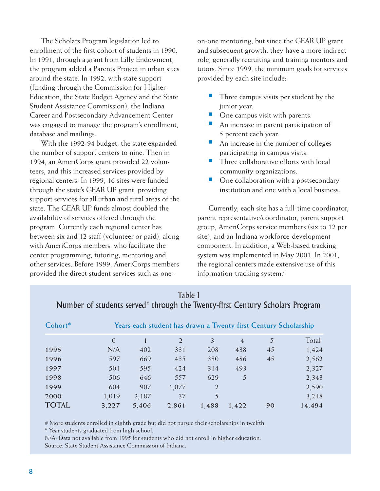The Scholars Program legislation led to enrollment of the first cohort of students in 1990. In 1991, through a grant from Lilly Endowment, the program added a Parents Project in urban sites around the state. In 1992, with state support (funding through the Commission for Higher Education, the State Budget Agency and the State Student Assistance Commission), the Indiana Career and Postsecondary Advancement Center was engaged to manage the program's enrollment, database and mailings.

With the 1992-94 budget, the state expanded the number of support centers to nine. Then in 1994, an AmeriCorps grant provided 22 volunteers, and this increased services provided by regional centers. In 1999, 16 sites were funded through the state's GEAR UP grant, providing support services for all urban and rural areas of the state. The GEAR UP funds almost doubled the availability of services offered through the program. Currently each regional center has between six and 12 staff (volunteer or paid), along with AmeriCorps members, who facilitate the center programming, tutoring, mentoring and other services. Before 1999, AmeriCorps members provided the direct student services such as oneon-one mentoring, but since the GEAR UP grant and subsequent growth, they have a more indirect role, generally recruiting and training mentors and tutors. Since 1999, the minimum goals for services provided by each site include:

- Three campus visits per student by the junior year.
- One campus visit with parents.
- An increase in parent participation of 5 percent each year.
- An increase in the number of colleges participating in campus visits.
- Three collaborative efforts with local community organizations.
- One collaboration with a postsecondary institution and one with a local business.

Currently, each site has a full-time coordinator, parent representative/coordinator, parent support group, AmeriCorps service members (six to 12 per site), and an Indiana workforce-development component. In addition, a Web-based tracking system was implemented in May 2001. In 2001, the regional centers made extensive use of this information-tracking system.<sup>6</sup>

| Cohort* | Years each student has drawn a Twenty-first Century Scholarship |       |               |                |                |    |        |  |  |
|---------|-----------------------------------------------------------------|-------|---------------|----------------|----------------|----|--------|--|--|
|         | $\Omega$                                                        |       | $\mathcal{L}$ | 3              | $\overline{4}$ | 5  | Total  |  |  |
| 1995    | N/A                                                             | 402   | 331           | 208            | 438            | 45 | 1,424  |  |  |
| 1996    | 597                                                             | 669   | 435           | 330            | 486            | 45 | 2,562  |  |  |
| 1997    | 501                                                             | 595   | 424           | 314            | 493            |    | 2,327  |  |  |
| 1998    | 506                                                             | 646   | 557           | 629            | 5              |    | 2,343  |  |  |
| 1999    | 604                                                             | 907   | 1,077         | $\overline{2}$ |                |    | 2,590  |  |  |
| 2000    | 1,019                                                           | 2,187 | 37            | 5              |                |    | 3,248  |  |  |
| TOTAL   | 3,227                                                           | 5,406 | 2,861         | 1,488          | 1,422          | 90 | 14,494 |  |  |

#### Table 1 Number of students served<sup>#</sup> through the Twenty-first Century Scholars Program

# More students enrolled in eighth grade but did not pursue their scholarships in twelfth.

\* Year students graduated from high school.

N/A: Data not available from 1995 for students who did not enroll in higher education. Source: State Student Assistance Commission of Indiana.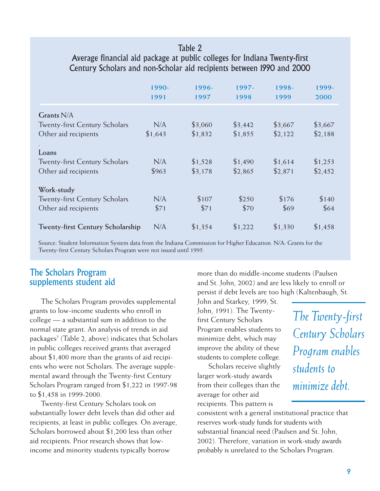#### Table 2

#### Average financial aid package at public colleges for Indiana Twenty-first Century Scholars and non-Scholar aid recipients between 1990 and 2000

|                                         | 1990-<br>1991 | 1996-<br>1997 | 1997-<br>1998 | 1998-<br>1999 | 1999-<br>2000 |
|-----------------------------------------|---------------|---------------|---------------|---------------|---------------|
| Grants $N/A$                            |               |               |               |               |               |
| <b>Twenty-first Century Scholars</b>    | N/A           | \$3,060       | \$3,442       | \$3,667       | \$3,667       |
| Other aid recipients                    | \$1,643       | \$1,832       | \$1,855       | \$2,122       | \$2,188       |
|                                         |               |               |               |               |               |
| Loans                                   |               |               |               |               |               |
| <b>Twenty-first Century Scholars</b>    | N/A           | \$1,528       | \$1,490       | \$1,614       | \$1,253       |
| Other aid recipients                    | \$963         | \$3,178       | \$2,865       | \$2,871       | \$2,452       |
| Work-study                              |               |               |               |               |               |
| <b>Twenty-first Century Scholars</b>    | N/A           | \$107         | \$250         | \$176         | \$140         |
| Other aid recipients                    | \$71          | \$71          | \$70          | \$69          | \$64          |
| <b>Twenty-first Century Scholarship</b> | N/A           | \$1,354       | \$1,222       | \$1,330       | \$1,458       |

Source: Student Information System data from the Indiana Commission for Higher Education. N/A: Grants for the Twenty-first Century Scholars Program were not issued until 1995.

#### The Scholars Program supplements student aid

The Scholars Program provides supplemental grants to low-income students who enroll in college — a substantial sum in addition to the normal state grant. An analysis of trends in aid packages7 (Table 2, above) indicates that Scholars in public colleges received grants that averaged about \$1,400 more than the grants of aid recipients who were not Scholars. The average supplemental award through the Twenty-first Century Scholars Program ranged from \$1,222 in 1997-98 to \$1,458 in 1999-2000.

Twenty-first Century Scholars took on substantially lower debt levels than did other aid recipients, at least in public colleges. On average, Scholars borrowed about \$1,200 less than other aid recipients. Prior research shows that lowincome and minority students typically borrow

more than do middle-income students (Paulsen and St. John, 2002) and are less likely to enroll or persist if debt levels are too high (Kaltenbaugh, St.

John and Starkey, 1999; St. John, 1991). The Twentyfirst Century Scholars Program enables students to minimize debt, which may improve the ability of these students to complete college.

Scholars receive slightly larger work-study awards from their colleges than the average for other aid recipients. This pattern is

consistent with a general institutional practice that reserves work-study funds for students with substantial financial need (Paulsen and St. John, 2002). Therefore, variation in work-study awards probably is unrelated to the Scholars Program.

*The Twenty-first Century Scholars Program enables students to minimize debt.*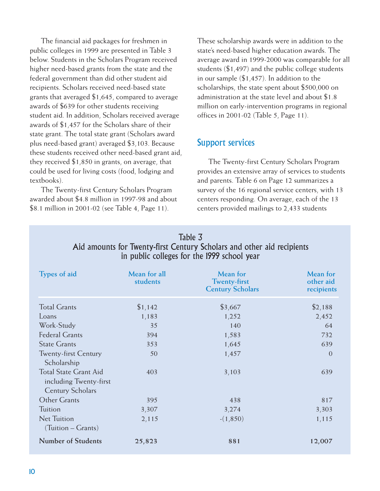The financial aid packages for freshmen in public colleges in 1999 are presented in Table 3 below. Students in the Scholars Program received higher need-based grants from the state and the federal government than did other student aid recipients. Scholars received need-based state grants that averaged \$1,645, compared to average awards of \$639 for other students receiving student aid. In addition, Scholars received average awards of \$1,457 for the Scholars share of their state grant. The total state grant (Scholars award plus need-based grant) averaged \$3,103. Because these students received other need-based grant aid, they received \$1,850 in grants, on average, that could be used for living costs (food, lodging and textbooks).

The Twenty-first Century Scholars Program awarded about \$4.8 million in 1997-98 and about \$8.1 million in 2001-02 (see Table 4, Page 11).

These scholarship awards were in addition to the state's need-based higher education awards. The average award in 1999-2000 was comparable for all students (\$1,497) and the public college students in our sample (\$1,457). In addition to the scholarships, the state spent about \$500,000 on administration at the state level and about \$1.8 million on early-intervention programs in regional offices in 2001-02 (Table 5, Page 11).

#### Support services

The Twenty-first Century Scholars Program provides an extensive array of services to students and parents. Table 6 on Page 12 summarizes a survey of the 16 regional service centers, with 13 centers responding. On average, each of the 13 centers provided mailings to 2,433 students

| Table 3<br>Aid amounts for Twenty-first Century Scholars and other aid recipients<br>in public colleges for the 1999 school year |                          |                                                            |                                     |  |  |  |
|----------------------------------------------------------------------------------------------------------------------------------|--------------------------|------------------------------------------------------------|-------------------------------------|--|--|--|
| Types of aid                                                                                                                     | Mean for all<br>students | Mean for<br><b>Twenty-first</b><br><b>Century Scholars</b> | Mean for<br>other aid<br>recipients |  |  |  |
| <b>Total Grants</b>                                                                                                              | \$1,142                  | \$3,667                                                    | \$2,188                             |  |  |  |
| Loans                                                                                                                            | 1,183                    | 1,252                                                      | 2,452                               |  |  |  |
| Work-Study                                                                                                                       | 35                       | 140                                                        | 64                                  |  |  |  |
| <b>Federal Grants</b>                                                                                                            | 394                      | 1,583                                                      | 732                                 |  |  |  |
| <b>State Grants</b>                                                                                                              | 353                      | 1,645                                                      | 639                                 |  |  |  |
| <b>Twenty-first Century</b><br>Scholarship                                                                                       | 50                       | 1,457                                                      | $\overline{0}$                      |  |  |  |
| <b>Total State Grant Aid</b><br>including Twenty-first<br><b>Century Scholars</b>                                                | 403                      | 3,103                                                      | 639                                 |  |  |  |
| Other Grants                                                                                                                     | 395                      | 438                                                        | 817                                 |  |  |  |
| Tuition                                                                                                                          | 3,307                    | 3,274                                                      | 3,303                               |  |  |  |
| <b>Net Tuition</b><br>(Tuition – Grants)                                                                                         | 2,115                    | $-(1,850)$                                                 | 1,115                               |  |  |  |
| <b>Number of Students</b>                                                                                                        | 25,823                   | 881                                                        | 12,007                              |  |  |  |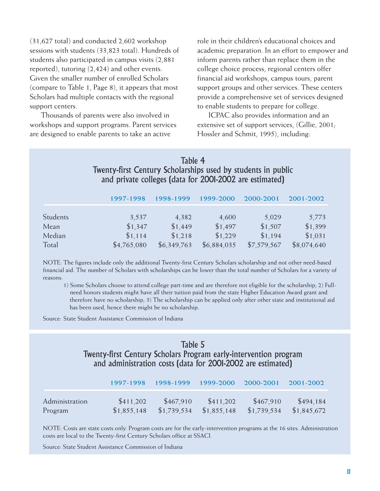(31,627 total) and conducted 2,602 workshop sessions with students (33,823 total). Hundreds of students also participated in campus visits (2,881 reported), tutoring (2,424) and other events. Given the smaller number of enrolled Scholars (compare to Table 1, Page 8), it appears that most Scholars had multiple contacts with the regional support centers.

Thousands of parents were also involved in workshops and support programs. Parent services are designed to enable parents to take an active

role in their children's educational choices and academic preparation. In an effort to empower and inform parents rather than replace them in the college choice process, regional centers offer financial aid workshops, campus tours, parent support groups and other services. These centers provide a comprehensive set of services designed to enable students to prepare for college.

ICPAC also provides information and an extensive set of support services, (Gillie, 2001; Hossler and Schmit, 1995), including:

Table 4 Twenty-first Century Scholarships used by students in public and private colleges (data for 2001-2002 are estimated)

|          | 1997-1998   | 1998-1999   | 1999-2000   | 2000-2001   | 2001-2002   |
|----------|-------------|-------------|-------------|-------------|-------------|
| Students | 3,537       | 4,382       | 4,600       | 5,029       | 5,773       |
| Mean     | \$1,347     | \$1,449     | \$1,497     | \$1,507     | \$1,399     |
| Median   | \$1,114     | \$1,218     | \$1,229     | \$1,194     | \$1,031     |
| Total    | \$4,765,080 | \$6,349,763 | \$6,884,035 | \$7,579,567 | \$8,074,640 |

NOTE: The figures include only the additional Twenty-first Century Scholars scholarship and not other need-based financial aid. The number of Scholars with scholarships can be lower than the total number of Scholars for a variety of reasons:

1) Some Scholars choose to attend college part-time and are therefore not eligible for the scholarship; 2) Full need honors students might have all their tuition paid from the state Higher Education Award grant and therefore have no scholarship; 3) The scholarship can be applied only after other state and institutional aid has been used, hence there might be no scholarship.

Source: State Student Assistance Commission of Indiana

### Table 5

Twenty-first Century Scholars Program early-intervention program and administration costs (data for 2001-2002 are estimated)

|                | 1997-1998   | 1998-1999   | 1999-2000   | 2000-2001   | 2001-2002   |
|----------------|-------------|-------------|-------------|-------------|-------------|
| Administration | \$411,202   | \$467,910   | \$411,202   | \$467,910   | \$494,184   |
| Program        | \$1,855,148 | \$1,739,534 | \$1,855,148 | \$1,739,534 | \$1,845,672 |

NOTE: Costs are state costs only. Program costs are for the early-intervention programs at the 16 sites. Administration costs are local to the Twenty-first Century Scholars office at SSACI.

Source: State Student Assistance Commission of Indiana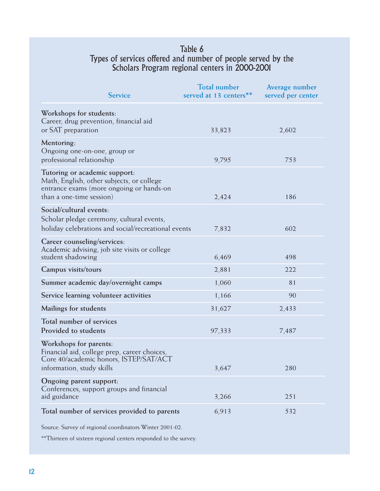#### Table 6 Types of services offered and number of people served by the Scholars Program regional centers in 2000-2001

| <b>Service</b>                                                                                                                                     | <b>Total number</b><br>served at 13 centers** | Average number<br>served per center |
|----------------------------------------------------------------------------------------------------------------------------------------------------|-----------------------------------------------|-------------------------------------|
| Workshops for students:<br>Career, drug prevention, financial aid<br>or SAT preparation                                                            | 33,823                                        | 2,602                               |
| Mentoring:<br>Ongoing one-on-one, group or<br>professional relationship                                                                            | 9,795                                         | 753                                 |
| Tutoring or academic support:<br>Math, English, other subjects, or college<br>entrance exams (more ongoing or hands-on<br>than a one-time session) | 2,424                                         | 186                                 |
| Social/cultural events:<br>Scholar pledge ceremony, cultural events,<br>holiday celebrations and social/recreational events                        | 7,832                                         | 602                                 |
| Career counseling/services:<br>Academic advising, job site visits or college<br>student shadowing                                                  | 6,469                                         | 498                                 |
| Campus visits/tours                                                                                                                                | 2,881                                         | 222                                 |
| Summer academic day/overnight camps                                                                                                                | 1,060                                         | 81                                  |
| Service learning volunteer activities                                                                                                              | 1,166                                         | 90                                  |
| Mailings for students                                                                                                                              | 31,627                                        | 2,433                               |
| Total number of services<br>Provided to students                                                                                                   | 97,333                                        | 7,487                               |
| Workshops for parents:<br>Financial aid, college prep, career choices,<br>Core 40/academic honors, ISTEP/SAT/ACT<br>information, study skills      | 3,647                                         | 280                                 |
| Ongoing parent support:                                                                                                                            |                                               |                                     |
| Conferences, support groups and financial<br>aid guidance                                                                                          | 3,266                                         | 251                                 |
| Total number of services provided to parents                                                                                                       | 6,913                                         | 532                                 |

Source: Survey of regional coordinators Winter 2001-02.

\*\*Thirteen of sixteen regional centers responded to the survey.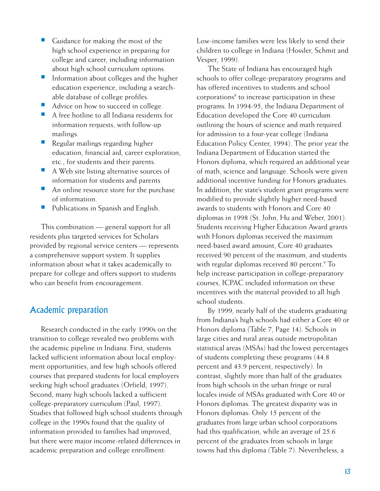- Guidance for making the most of the high school experience in preparing for college and career, including information about high school curriculum options.
- Information about colleges and the higher education experience, including a searchable database of college profiles.
- Advice on how to succeed in college.
- A free hotline to all Indiana residents for information requests, with follow-up mailings.
- Regular mailings regarding higher education, financial aid, career exploration, etc., for students and their parents.
- A Web site listing alternative sources of information for students and parents
- An online resource store for the purchase of information.
- Publications in Spanish and English.

This combination — general support for all residents plus targeted services for Scholars provided by regional service centers — represents a comprehensive support system. It supplies information about what it takes academically to prepare for college and offers support to students who can benefit from encouragement.

#### Academic preparation

Research conducted in the early 1990s on the transition to college revealed two problems with the academic pipeline in Indiana. First, students lacked sufficient information about local employment opportunities, and few high schools offered courses that prepared students for local employers seeking high school graduates (Orfield, 1997). Second, many high schools lacked a sufficient college-preparatory curriculum (Paul, 1997). Studies that followed high school students through college in the 1990s found that the quality of information provided to families had improved, but there were major income-related differences in academic preparation and college enrollment:

Low-income families were less likely to send their children to college in Indiana (Hossler, Schmit and Vesper, 1999).

The State of Indiana has encouraged high schools to offer college-preparatory programs and has offered incentives to students and school corporations<sup>8</sup> to increase participation in these programs. In 1994-95, the Indiana Department of Education developed the Core 40 curriculum outlining the hours of science and math required for admission to a four-year college (Indiana Education Policy Center, 1994). The prior year the Indiana Department of Education started the Honors diploma, which required an additional year of math, science and language. Schools were given additional incentive funding for Honors graduates. In addition, the state's student grant programs were modified to provide slightly higher need-based awards to students with Honors and Core 40 diplomas in 1998 (St. John, Hu and Weber, 2001). Students receiving Higher Education Award grants with Honors diplomas received the maximum need-based award amount, Core 40 graduates received 90 percent of the maximum, and students with regular diplomas received 80 percent.<sup>9</sup> To help increase participation in college-preparatory courses, ICPAC included information on these incentives with the material provided to all high school students.

By 1999, nearly half of the students graduating from Indiana's high schools had either a Core 40 or Honors diploma (Table 7, Page 14). Schools in large cities and rural areas outside metropolitan statistical areas (MSAs) had the lowest percentages of students completing these programs (44.8 percent and 43.9 percent, respectively). In contrast, slightly more than half of the graduates from high schools in the urban fringe or rural locales inside of MSAs graduated with Core 40 or Honors diplomas. The greatest disparity was in Honors diplomas: Only 15 percent of the graduates from large urban school corporations had this qualification, while an average of 25.6 percent of the graduates from schools in large towns had this diploma (Table 7). Nevertheless, a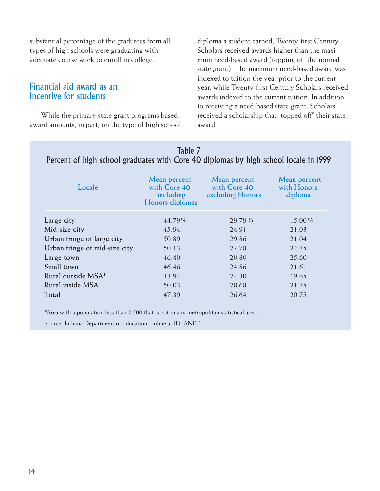substantial percentage of the graduates from all types of high schools were graduating with adequate course work to enroll in college.

#### Financial aid award as an incentive for students

While the primary state grant programs based award amounts, in part, on the type of high school diploma a student earned, Twenty-first Century Scholars received awards higher than the maximum need-based award (topping off the normal state grant). The maximum need-based award was indexed to tuition the year prior to the current year, while Twenty-first Century Scholars received awards indexed to the current tuition. In addition to receiving a need-based state grant, Scholars received a scholarship that "topped off" their state award.

| IGDIC 7<br>Percent of high school graduates with Core 40 diplomas by high school locale in 1999 |                                                              |                                                  |                                        |  |  |  |  |  |
|-------------------------------------------------------------------------------------------------|--------------------------------------------------------------|--------------------------------------------------|----------------------------------------|--|--|--|--|--|
| Locale                                                                                          | Mean percent<br>with Core 40<br>including<br>Honors diplomas | Mean percent<br>with Core 40<br>excluding Honors | Mean percent<br>with Honors<br>diploma |  |  |  |  |  |
| Large city                                                                                      | 44.79%                                                       | 29.79%                                           | 15.00%                                 |  |  |  |  |  |
|                                                                                                 |                                                              |                                                  |                                        |  |  |  |  |  |
| Mid-size city                                                                                   | 45.94                                                        | 24.91                                            | 21.03                                  |  |  |  |  |  |
| Urban fringe of large city                                                                      | 50.89                                                        | 29.86                                            | 21.04                                  |  |  |  |  |  |
| Urban fringe of mid-size city                                                                   | 50.13                                                        | 27.78                                            | 22.35                                  |  |  |  |  |  |
| Large town                                                                                      | 46.40                                                        | 20.80                                            | 25.60                                  |  |  |  |  |  |
| Small town                                                                                      | 46.46                                                        | 24.86                                            | 21.61                                  |  |  |  |  |  |
| Rural outside MSA*                                                                              | 43.94                                                        | 24.30                                            | 19.65                                  |  |  |  |  |  |
| Rural inside MSA                                                                                | 50.03                                                        | 28.68                                            | 21.35                                  |  |  |  |  |  |
| Total                                                                                           | 47.39                                                        | 26.64                                            | 20.75                                  |  |  |  |  |  |

## Table 7

\*Area with a population less than 2,500 that is not in any metropolitan statistical area.

Source: Indiana Department of Education, online at IDEANET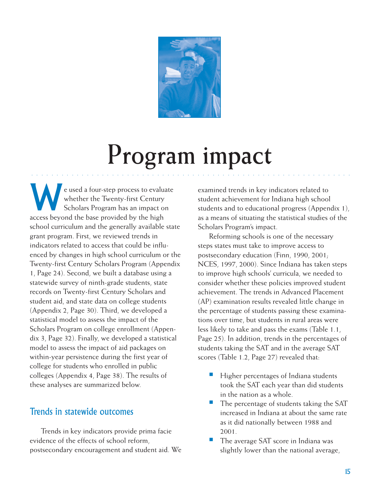

# **Program impact**

○○○○○○○○○○○○ ○○○○○○○○○○○○○○○○○○○○○○○○○○○○○○○○○○○○○○○○○○○○○○○○○○○○

e used a four-step process to evaluate<br>whether the Twenty-first Century<br>Scholars Program has an impact on whether the Twenty-first Century Scholars Program has an impact on access beyond the base provided by the high school curriculum and the generally available state grant program. First, we reviewed trends in indicators related to access that could be influenced by changes in high school curriculum or the Twenty-first Century Scholars Program (Appendix 1, Page 24). Second, we built a database using a statewide survey of ninth-grade students, state records on Twenty-first Century Scholars and student aid, and state data on college students (Appendix 2, Page 30). Third, we developed a statistical model to assess the impact of the Scholars Program on college enrollment (Appendix 3, Page 32). Finally, we developed a statistical model to assess the impact of aid packages on within-year persistence during the first year of college for students who enrolled in public colleges (Appendix 4, Page 38). The results of these analyses are summarized below.

#### Trends in statewide outcomes

Trends in key indicators provide prima facie evidence of the effects of school reform, postsecondary encouragement and student aid. We examined trends in key indicators related to student achievement for Indiana high school students and to educational progress (Appendix 1), as a means of situating the statistical studies of the Scholars Program's impact.

Reforming schools is one of the necessary steps states must take to improve access to postsecondary education (Finn, 1990, 2001; NCES, 1997, 2000). Since Indiana has taken steps to improve high schools' curricula, we needed to consider whether these policies improved student achievement. The trends in Advanced Placement (AP) examination results revealed little change in the percentage of students passing these examinations over time, but students in rural areas were less likely to take and pass the exams (Table 1.1, Page 25). In addition, trends in the percentages of students taking the SAT and in the average SAT scores (Table 1.2, Page 27) revealed that:

- Higher percentages of Indiana students took the SAT each year than did students in the nation as a whole.
- The percentage of students taking the SAT increased in Indiana at about the same rate as it did nationally between 1988 and 2001.
- The average SAT score in Indiana was slightly lower than the national average,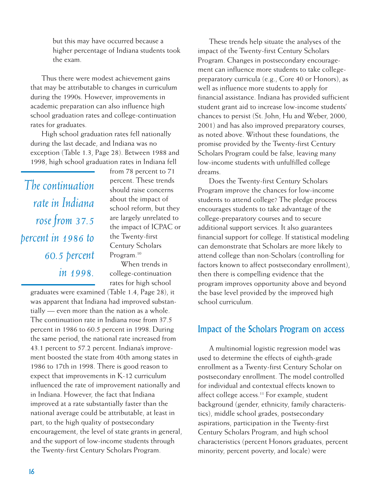but this may have occurred because a higher percentage of Indiana students took the exam.

Thus there were modest achievement gains that may be attributable to changes in curriculum during the 1990s. However, improvements in academic preparation can also influence high school graduation rates and college-continuation rates for graduates.

High school graduation rates fell nationally during the last decade, and Indiana was no exception (Table 1.3, Page 28). Between 1988 and 1998, high school graduation rates in Indiana fell

*The continuation rate in Indiana rose from 37.5 percent in 1986 to 60.5 percent in 1998.*

from 78 percent to 71 percent. These trends should raise concerns about the impact of school reform, but they are largely unrelated to the impact of ICPAC or the Twenty-first Century Scholars Program.<sup>10</sup>

When trends in college-continuation rates for high school

graduates were examined (Table 1.4, Page 28), it was apparent that Indiana had improved substantially — even more than the nation as a whole. The continuation rate in Indiana rose from 37.5 percent in 1986 to 60.5 percent in 1998. During the same period, the national rate increased from 43.1 percent to 57.2 percent. Indiana's improvement boosted the state from 40th among states in 1986 to 17th in 1998. There is good reason to expect that improvements in K-12 curriculum influenced the rate of improvement nationally and in Indiana. However, the fact that Indiana improved at a rate substantially faster than the national average could be attributable, at least in part, to the high quality of postsecondary encouragement, the level of state grants in general, and the support of low-income students through the Twenty-first Century Scholars Program.

These trends help situate the analyses of the impact of the Twenty-first Century Scholars Program. Changes in postsecondary encouragement can influence more students to take collegepreparatory curricula (e.g., Core 40 or Honors), as well as influence more students to apply for financial assistance. Indiana has provided sufficient student grant aid to increase low-income students' chances to persist (St. John, Hu and Weber, 2000, 2001) and has also improved preparatory courses, as noted above. Without these foundations, the promise provided by the Twenty-first Century Scholars Program could be false, leaving many low-income students with unfulfilled college dreams.

Does the Twenty-first Century Scholars Program improve the chances for low-income students to attend college? The pledge process encourages students to take advantage of the college-preparatory courses and to secure additional support services. It also guarantees financial support for college. If statistical modeling can demonstrate that Scholars are more likely to attend college than non-Scholars (controlling for factors known to affect postsecondary enrollment), then there is compelling evidence that the program improves opportunity above and beyond the base level provided by the improved high school curriculum.

#### Impact of the Scholars Program on access

A multinomial logistic regression model was used to determine the effects of eighth-grade enrollment as a Twenty-first Century Scholar on postsecondary enrollment. The model controlled for individual and contextual effects known to affect college access.<sup>11</sup> For example, student background (gender, ethnicity, family characteristics), middle school grades, postsecondary aspirations, participation in the Twenty-first Century Scholars Program, and high school characteristics (percent Honors graduates, percent minority, percent poverty, and locale) were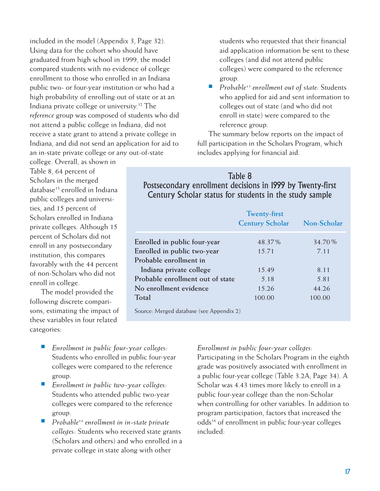included in the model (Appendix 3, Page 32). Using data for the cohort who should have graduated from high school in 1999, the model compared students with no evidence of college enrollment to those who enrolled in an Indiana public two- or four-year institution or who had a high probability of enrolling out of state or at an Indiana private college or university.12 The *reference* group was composed of students who did not attend a public college in Indiana, did not receive a state grant to attend a private college in Indiana, and did not send an application for aid to an in-state private college or any out-of-state

college. Overall, as shown in Table 8, 64 percent of Scholars in the merged database<sup>13</sup> enrolled in Indiana public colleges and universities, and 15 percent of Scholars enrolled in Indiana private colleges. Although 15 percent of Scholars did not enroll in any postsecondary institution, this compares favorably with the 44 percent of non-Scholars who did not enroll in college.

The model provided the following discrete comparisons, estimating the impact of these variables in four related categories:

- Enrollment in public four-year colleges: Students who enrolled in public four-year colleges were compared to the reference group.
- Enrollment in public two-year colleges: Students who attended public two-year colleges were compared to the reference group.
- *Probable14 enrollment in in-state private colleges:* Students who received state grants (Scholars and others) and who enrolled in a private college in state along with other

students who requested that their financial aid application information be sent to these colleges (and did not attend public colleges) were compared to the reference group.

■ *Probable<sup>15</sup>* enrollment out of state: Students who applied for aid and sent information to colleges out of state (and who did not enroll in state) were compared to the reference group.

The summary below reports on the impact of full participation in the Scholars Program, which includes applying for financial aid.

#### Table 8 Postsecondary enrollment decisions in 1999 by Twenty-first Century Scholar status for students in the study sample

| Non-Scholar<br><b>Century Scholar</b> |
|---------------------------------------|
| 34.70%<br>48.37%                      |
| 7.11                                  |
|                                       |
| 8.11                                  |
| 5.81                                  |
| 44.26                                 |
| 100.00                                |
|                                       |

Source: Merged database (see Appendix 2)

#### *Enrollment in public four-year colleges:*

Participating in the Scholars Program in the eighth grade was positively associated with enrollment in a public four-year college (Table 3.2A, Page 34). A Scholar was 4.43 times more likely to enroll in a public four-year college than the non-Scholar when controlling for other variables. In addition to program participation, factors that increased the odds16 of enrollment in public four-year colleges included: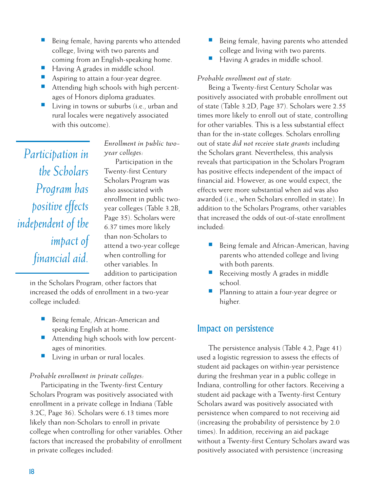- Being female, having parents who attended college, living with two parents and coming from an English-speaking home.
- Having A grades in middle school.
- Aspiring to attain a four-year degree.
- Attending high schools with high percentages of Honors diploma graduates.
- Living in towns or suburbs (i.e., urban and rural locales were negatively associated with this outcome).

*Participation in the Scholars Program has positive effects independent of the impact of financial aid.*

*Enrollment in public twoyear colleges:*

Participation in the Twenty-first Century Scholars Program was also associated with enrollment in public twoyear colleges (Table 3.2B, Page 35). Scholars were 6.37 times more likely than non-Scholars to attend a two-year college when controlling for other variables. In addition to participation

in the Scholars Program, other factors that increased the odds of enrollment in a two-year college included:

- Being female, African-American and speaking English at home.
- Attending high schools with low percentages of minorities.
- Living in urban or rural locales.

#### *Probable enrollment in private colleges:*

Participating in the Twenty-first Century Scholars Program was positively associated with enrollment in a private college in Indiana (Table 3.2C, Page 36). Scholars were 6.13 times more likely than non-Scholars to enroll in private college when controlling for other variables. Other factors that increased the probability of enrollment in private colleges included:

- Being female, having parents who attended college and living with two parents.
- Having A grades in middle school.

#### *Probable enrollment out of state:*

Being a Twenty-first Century Scholar was positively associated with probable enrollment out of state (Table 3.2D, Page 37). Scholars were 2.55 times more likely to enroll out of state, controlling for other variables. This is a less substantial effect than for the in-state colleges. Scholars enrolling out of state *did not receive state grants* including the Scholars grant*.* Nevertheless, this analysis reveals that participation in the Scholars Program has positive effects independent of the impact of financial aid. However, as one would expect, the effects were more substantial when aid was also awarded (i.e., when Scholars enrolled in state). In addition to the Scholars Programs, other variables that increased the odds of out-of-state enrollment included:

- Being female and African-American, having parents who attended college and living with both parents.
- Receiving mostly A grades in middle school.
- Planning to attain a four-year degree or higher.

#### Impact on persistence

The persistence analysis (Table 4.2, Page 41) used a logistic regression to assess the effects of student aid packages on within-year persistence during the freshman year in a public college in Indiana, controlling for other factors. Receiving a student aid package with a Twenty-first Century Scholars award was positively associated with persistence when compared to not receiving aid (increasing the probability of persistence by 2.0 times). In addition, receiving an aid package without a Twenty-first Century Scholars award was positively associated with persistence (increasing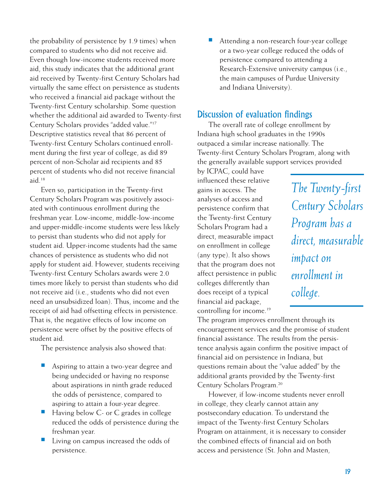the probability of persistence by 1.9 times) when compared to students who did not receive aid. Even though low-income students received more aid, this study indicates that the additional grant aid received by Twenty-first Century Scholars had virtually the same effect on persistence as students who received a financial aid package without the Twenty-first Century scholarship. Some question whether the additional aid awarded to Twenty-first Century Scholars provides "added value."17 Descriptive statistics reveal that 86 percent of Twenty-first Century Scholars continued enrollment during the first year of college, as did 89 percent of non-Scholar aid recipients and 85 percent of students who did not receive financial aid.18

Even so, participation in the Twenty-first Century Scholars Program was positively associated with continuous enrollment during the freshman year. Low-income, middle-low-income and upper-middle-income students were less likely to persist than students who did not apply for student aid. Upper-income students had the same chances of persistence as students who did not apply for student aid. However, students receiving Twenty-first Century Scholars awards were 2.0 times more likely to persist than students who did not receive aid (i.e., students who did not even need an unsubsidized loan). Thus, income and the receipt of aid had offsetting effects in persistence. That is, the negative effects of low income on persistence were offset by the positive effects of student aid.

The persistence analysis also showed that:

- Aspiring to attain a two-year degree and being undecided or having no response about aspirations in ninth grade reduced the odds of persistence, compared to aspiring to attain a four-year degree.
- Having below C- or C grades in college reduced the odds of persistence during the freshman year.
- Living on campus increased the odds of persistence.

Attending a non-research four-year college or a two-year college reduced the odds of persistence compared to attending a Research-Extensive university campus (i.e., the main campuses of Purdue University and Indiana University).

#### Discussion of evaluation findings

The overall rate of college enrollment by Indiana high school graduates in the 1990s outpaced a similar increase nationally. The Twenty-first Century Scholars Program, along with the generally available support services provided

by ICPAC, could have influenced these relative gains in access. The analyses of access and persistence confirm that the Twenty-first Century Scholars Program had a direct, measurable impact on enrollment in college (any type). It also shows that the program does not affect persistence in public colleges differently than does receipt of a typical financial aid package, controlling for income.<sup>19</sup>

*The Twenty-first Century Scholars Program has a direct, measurable impact on enrollment in college.*

The program improves enrollment through its encouragement services and the promise of student financial assistance. The results from the persistence analysis again confirm the positive impact of financial aid on persistence in Indiana, but questions remain about the "value added" by the additional grants provided by the Twenty-first Century Scholars Program.20

However, if low-income students never enroll in college, they clearly cannot attain any postsecondary education. To understand the impact of the Twenty-first Century Scholars Program on attainment, it is necessary to consider the combined effects of financial aid on both access and persistence (St. John and Masten,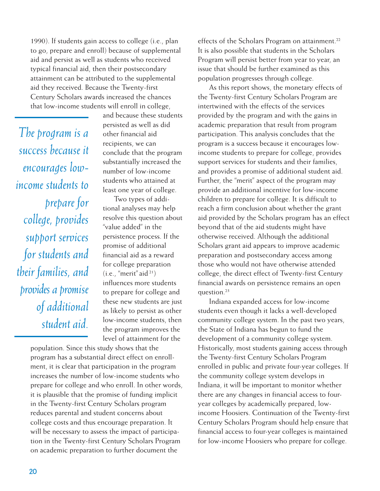1990). If students gain access to college (i.e., plan to go, prepare and enroll) because of supplemental aid and persist as well as students who received typical financial aid, then their postsecondary attainment can be attributed to the supplemental aid they received. Because the Twenty-first Century Scholars awards increased the chances that low-income students will enroll in college,

*The program is a success because it encourages lowincome students to prepare for college, provides support services for students and their families, and provides a promise of additional student aid.*

and because these students persisted as well as did other financial aid recipients, we can conclude that the program substantially increased the number of low-income students who attained at least one year of college.

Two types of additional analyses may help resolve this question about "value added" in the persistence process. If the promise of additional financial aid as a reward for college preparation  $(i.e., "merit" aid<sup>21</sup>)$ influences more students to prepare for college and these new students are just as likely to persist as other low-income students, then the program improves the level of attainment for the

population. Since this study shows that the program has a substantial direct effect on enrollment, it is clear that participation in the program increases the number of low-income students who prepare for college and who enroll. In other words, it is plausible that the promise of funding implicit in the Twenty-first Century Scholars program reduces parental and student concerns about college costs and thus encourage preparation. It will be necessary to assess the impact of participation in the Twenty-first Century Scholars Program on academic preparation to further document the

effects of the Scholars Program on attainment.<sup>22</sup> It is also possible that students in the Scholars Program will persist better from year to year, an issue that should be further examined as this population progresses through college.

As this report shows, the monetary effects of the Twenty-first Century Scholars Program are intertwined with the effects of the services provided by the program and with the gains in academic preparation that result from program participation. This analysis concludes that the program is a success because it encourages lowincome students to prepare for college, provides support services for students and their families, and provides a promise of additional student aid. Further, the "merit" aspect of the program may provide an additional incentive for low-income children to prepare for college. It is difficult to reach a firm conclusion about whether the grant aid provided by the Scholars program has an effect beyond that of the aid students might have otherwise received. Although the additional Scholars grant aid appears to improve academic preparation and postsecondary access among those who would not have otherwise attended college, the direct effect of Twenty-first Century financial awards on persistence remains an open question.23

Indiana expanded access for low-income students even though it lacks a well-developed community college system. In the past two years, the State of Indiana has begun to fund the development of a community college system. Historically, most students gaining access through the Twenty-first Century Scholars Program enrolled in public and private four-year colleges. If the community college system develops in Indiana, it will be important to monitor whether there are any changes in financial access to fouryear colleges by academically prepared, lowincome Hoosiers. Continuation of the Twenty-first Century Scholars Program should help ensure that financial access to four-year colleges is maintained for low-income Hoosiers who prepare for college.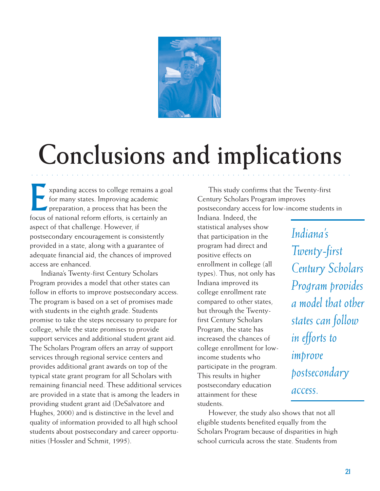

# **Conclusions and implications**

○○○○○○○○○○○○ ○○○○○○○○○○○○○○○○○○○○○○○○○○○○○○○○○○○○○○○○○○○○○○○○○○○○

Expanding access to college remains a goal for many states. Improving academic **Preparation, a process that has been the** focus of national reform efforts, is certainly an aspect of that challenge. However, if postsecondary encouragement is consistently provided in a state, along with a guarantee of adequate financial aid, the chances of improved access are enhanced.

Indiana's Twenty-first Century Scholars Program provides a model that other states can follow in efforts to improve postsecondary access. The program is based on a set of promises made with students in the eighth grade. Students promise to take the steps necessary to prepare for college, while the state promises to provide support services and additional student grant aid. The Scholars Program offers an array of support services through regional service centers and provides additional grant awards on top of the typical state grant program for all Scholars with remaining financial need. These additional services are provided in a state that is among the leaders in providing student grant aid (DeSalvatore and Hughes, 2000) and is distinctive in the level and quality of information provided to all high school students about postsecondary and career opportunities (Hossler and Schmit, 1995).

This study confirms that the Twenty-first Century Scholars Program improves postsecondary access for low-income students in

Indiana. Indeed, the statistical analyses show that participation in the program had direct and positive effects on enrollment in college (all types). Thus, not only has Indiana improved its college enrollment rate compared to other states, but through the Twentyfirst Century Scholars Program, the state has increased the chances of college enrollment for lowincome students who participate in the program. This results in higher postsecondary education attainment for these students.

*Indiana's Twenty-first Century Scholars Program provides a model that other states can follow in efforts to improve postsecondary access.*

However, the study also shows that not all eligible students benefited equally from the Scholars Program because of disparities in high school curricula across the state. Students from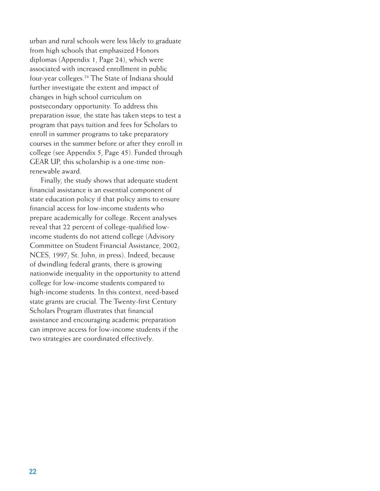urban and rural schools were less likely to graduate from high schools that emphasized Honors diplomas (Appendix 1, Page 24), which were associated with increased enrollment in public four-year colleges.<sup>24</sup> The State of Indiana should further investigate the extent and impact of changes in high school curriculum on postsecondary opportunity. To address this preparation issue, the state has taken steps to test a program that pays tuition and fees for Scholars to enroll in summer programs to take preparatory courses in the summer before or after they enroll in college (see Appendix 5, Page 45). Funded through GEAR UP, this scholarship is a one-time nonrenewable award.

Finally, the study shows that adequate student financial assistance is an essential component of state education policy if that policy aims to ensure financial access for low-income students who prepare academically for college. Recent analyses reveal that 22 percent of college-qualified lowincome students do not attend college (Advisory Committee on Student Financial Assistance, 2002; NCES, 1997; St. John, in press). Indeed, because of dwindling federal grants, there is growing nationwide inequality in the opportunity to attend college for low-income students compared to high-income students. In this context, need-based state grants are crucial. The Twenty-first Century Scholars Program illustrates that financial assistance and encouraging academic preparation can improve access for low-income students if the two strategies are coordinated effectively.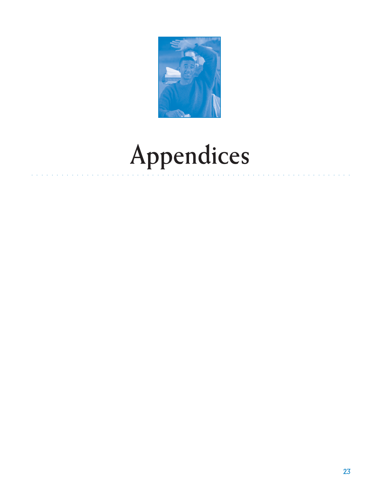

# Appendices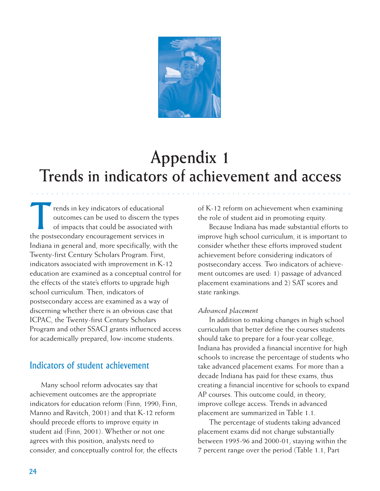

## **Appendix 1 Trends in indicators of achievement and access**

○○○○○○○○○○○○ ○○○○○○○○○○○○○○○○○○○○○○○○○○○○○○○○○○○○○○○○○○○○○○○○○○○○

Trends in key indicators of educational<br>outcomes can be used to discern the to<br>of impacts that could be associated w outcomes can be used to discern the types of impacts that could be associated with the postsecondary encouragement services in Indiana in general and, more specifically, with the Twenty-first Century Scholars Program. First, indicators associated with improvement in K-12 education are examined as a conceptual control for the effects of the state's efforts to upgrade high school curriculum. Then, indicators of postsecondary access are examined as a way of discerning whether there is an obvious case that ICPAC, the Twenty-first Century Scholars Program and other SSACI grants influenced access for academically prepared, low-income students.

#### Indicators of student achievement

Many school reform advocates say that achievement outcomes are the appropriate indicators for education reform (Finn, 1990; Finn, Manno and Ravitch, 2001) and that K-12 reform should precede efforts to improve equity in student aid (Finn, 2001). Whether or not one agrees with this position, analysts need to consider, and conceptually control for, the effects of K-12 reform on achievement when examining the role of student aid in promoting equity.

Because Indiana has made substantial efforts to improve high school curriculum, it is important to consider whether these efforts improved student achievement before considering indicators of postsecondary access. Two indicators of achievement outcomes are used: 1) passage of advanced placement examinations and 2) SAT scores and state rankings.

#### *Advanced placement*

In addition to making changes in high school curriculum that better define the courses students should take to prepare for a four-year college, Indiana has provided a financial incentive for high schools to increase the percentage of students who take advanced placement exams. For more than a decade Indiana has paid for these exams, thus creating a financial incentive for schools to expand AP courses. This outcome could, in theory, improve college access. Trends in advanced placement are summarized in Table 1.1.

The percentage of students taking advanced placement exams did not change substantially between 1995-96 and 2000-01, staying within the 7 percent range over the period (Table 1.1, Part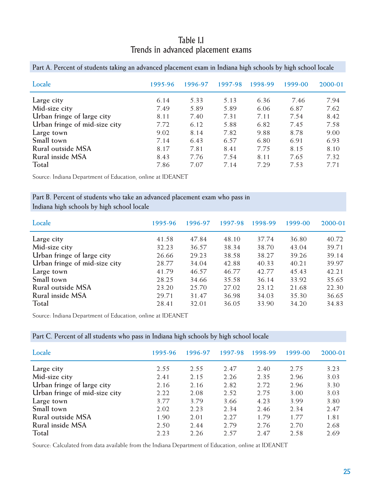#### Table 1.1 Trends in advanced placement exams

| Locale                        | 1995-96 | 1996-97 | 1997-98 | 1998-99 | 1999-00 | 2000-01 |
|-------------------------------|---------|---------|---------|---------|---------|---------|
| Large city                    | 6.14    | 5.33    | 5.13    | 6.36    | 7.46    | 7.94    |
| Mid-size city                 | 7.49    | 5.89    | 5.89    | 6.06    | 6.87    | 7.62    |
| Urban fringe of large city    | 8.11    | 7.40    | 7.31    | 7.11    | 7.54    | 8.42    |
| Urban fringe of mid-size city | 7.72    | 6.12    | 5.88    | 6.82    | 7.45    | 7.58    |
| Large town                    | 9.02    | 8.14    | 7.82    | 9.88    | 8.78    | 9.00    |
| Small town                    | 7.14    | 6.43    | 6.57    | 6.80    | 6.91    | 6.93    |
| Rural outside MSA             | 8.17    | 7.81    | 8.41    | 7.75    | 8.15    | 8.10    |
| Rural inside MSA              | 8.43    | 7.76    | 7.54    | 8.11    | 7.65    | 7.32    |
| Total                         | 7.86    | 7.07    | 7.14    | 7.29    | 7.53    | 7.71    |

**Part A. Percent of students taking an advanced placement exam in Indiana high schools by high school locale**

Source: Indiana Department of Education, online at IDEANET

#### **Part B. Percent of students who take an advanced placement exam who pass in Indiana high schools by high school locale**

| Locale                        | 1995-96 | 1996-97 | 1997-98 | 1998-99 | 1999-00 | 2000-01 |
|-------------------------------|---------|---------|---------|---------|---------|---------|
| Large city                    | 41.58   | 47.84   | 48.10   | 37.74   | 36.80   | 40.72   |
| Mid-size city                 | 32.23   | 36.57   | 38.34   | 38.70   | 43.04   | 39.71   |
| Urban fringe of large city    | 26.66   | 29.23   | 38.58   | 38.27   | 39.26   | 39.14   |
| Urban fringe of mid-size city | 28.77   | 34.04   | 42.88   | 40.33   | 40.21   | 39.97   |
| Large town                    | 41.79   | 46.57   | 46.77   | 42.77   | 45.43   | 42.21   |
| Small town                    | 28.25   | 34.66   | 35.58   | 36.14   | 33.92   | 35.65   |
| Rural outside MSA             | 23.20   | 25.70   | 27.02   | 23.12   | 21.68   | 22.30   |
| Rural inside MSA              | 29.71   | 31.47   | 36.98   | 34.03   | 35.30   | 36.65   |
| Total                         | 28.41   | 32.01   | 36.05   | 33.90   | 34.20   | 34.83   |

Source: Indiana Department of Education, online at IDEANET

#### **Part C. Percent of all students who pass in Indiana high schools by high school locale**

| Locale                        | 1995-96 | 1996-97 | 1997-98 | 1998-99 | 1999-00 | 2000-01 |
|-------------------------------|---------|---------|---------|---------|---------|---------|
| Large city                    | 2.55    | 2.55    | 2.47    | 2.40    | 2.75    | 3.23    |
| Mid-size city                 | 2.41    | 2.15    | 2.26    | 2.35    | 2.96    | 3.03    |
| Urban fringe of large city    | 2.16    | 2.16    | 2.82    | 2.72    | 2.96    | 3.30    |
| Urban fringe of mid-size city | 2.22    | 2.08    | 2.52    | 2.75    | 3.00    | 3.03    |
| Large town                    | 3.77    | 3.79    | 3.66    | 4.23    | 3.99    | 3.80    |
| Small town                    | 2.02    | 2.23    | 2.34    | 2.46    | 2.34    | 2.47    |
| Rural outside MSA             | 1.90    | 2.01    | 2.27    | 1.79    | 1.77    | 1.81    |
| Rural inside MSA              | 2.50    | 2.44    | 2.79    | 2.76    | 2.70    | 2.68    |
| Total                         | 2.23    | 2.26    | 2.57    | 2.47    | 2.58    | 2.69    |

Source: Calculated from data available from the Indiana Department of Education, online at IDEANET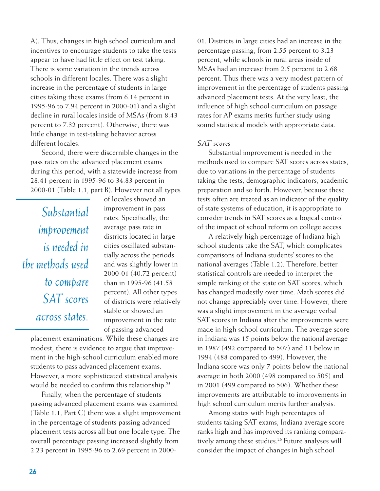A). Thus, changes in high school curriculum and incentives to encourage students to take the tests appear to have had little effect on test taking. There is some variation in the trends across schools in different locales. There was a slight increase in the percentage of students in large cities taking these exams (from 6.14 percent in 1995-96 to 7.94 percent in 2000-01) and a slight decline in rural locales inside of MSAs (from 8.43 percent to 7.32 percent). Otherwise, there was little change in test-taking behavior across different locales.

Second, there were discernible changes in the pass rates on the advanced placement exams during this period, with a statewide increase from 28.41 percent in 1995-96 to 34.83 percent in 2000-01 (Table 1.1, part B). However not all types

*Substantial improvement is needed in the methods used to compare SAT scores across states.*

of locales showed an improvement in pass rates. Specifically, the average pass rate in districts located in large cities oscillated substantially across the periods and was slightly lower in 2000-01 (40.72 percent) than in 1995-96 (41.58 percent). All other types of districts were relatively stable or showed an improvement in the rate of passing advanced

placement examinations. While these changes are modest, there is evidence to argue that improvement in the high-school curriculum enabled more students to pass advanced placement exams. However, a more sophisticated statistical analysis would be needed to confirm this relationship.<sup>25</sup>

Finally, when the percentage of students passing advanced placement exams was examined (Table 1.1, Part C) there was a slight improvement in the percentage of students passing advanced placement tests across all but one locale type. The overall percentage passing increased slightly from 2.23 percent in 1995-96 to 2.69 percent in 200001. Districts in large cities had an increase in the percentage passing, from 2.55 percent to 3.23 percent, while schools in rural areas inside of MSAs had an increase from 2.5 percent to 2.68 percent. Thus there was a very modest pattern of improvement in the percentage of students passing advanced placement tests. At the very least, the influence of high school curriculum on passage rates for AP exams merits further study using sound statistical models with appropriate data.

#### *SAT scores*

Substantial improvement is needed in the methods used to compare SAT scores across states, due to variations in the percentage of students taking the tests, demographic indicators, academic preparation and so forth. However, because these tests often are treated as an indicator of the quality of state systems of education, it is appropriate to consider trends in SAT scores as a logical control of the impact of school reform on college access.

A relatively high percentage of Indiana high school students take the SAT, which complicates comparisons of Indiana students' scores to the national averages (Table 1.2). Therefore, better statistical controls are needed to interpret the simple ranking of the state on SAT scores, which has changed modestly over time. Math scores did not change appreciably over time. However, there was a slight improvement in the average verbal SAT scores in Indiana after the improvements were made in high school curriculum. The average score in Indiana was 15 points below the national average in 1987 (492 compared to 507) and 11 below in 1994 (488 compared to 499). However, the Indiana score was only 7 points below the national average in both 2000 (498 compared to 505) and in 2001 (499 compared to 506). Whether these improvements are attributable to improvements in high school curriculum merits further analysis.

Among states with high percentages of students taking SAT exams, Indiana average score ranks high and has improved its ranking comparatively among these studies.<sup>26</sup> Future analyses will consider the impact of changes in high school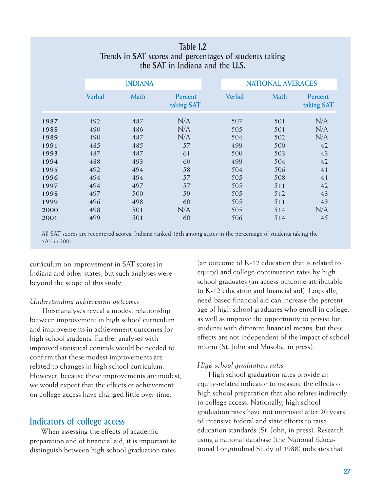|      |               | the SAT in Indiana and the U.S. |                       |  |                          |      |                       |  |  |
|------|---------------|---------------------------------|-----------------------|--|--------------------------|------|-----------------------|--|--|
|      |               | <b>INDIANA</b>                  |                       |  | <b>NATIONAL AVERAGES</b> |      |                       |  |  |
|      | <b>Verbal</b> | Math                            | Percent<br>taking SAT |  | <b>Verbal</b>            | Math | Percent<br>taking SAT |  |  |
| 1987 | 492           | 487                             | N/A                   |  | 507                      | 501  | N/A                   |  |  |
| 1988 | 490           | 486                             | N/A                   |  | 505                      | 501  | N/A                   |  |  |
| 1989 | 490           | 487                             | N/A                   |  | 504                      | 502  | N/A                   |  |  |
| 1991 | 485           | 485                             | 57                    |  | 499                      | 500  | 42                    |  |  |
| 1993 | 487           | 487                             | 61                    |  | 500                      | 503  | 43                    |  |  |
| 1994 | 488           | 493                             | 60                    |  | 499                      | 504  | 42                    |  |  |
| 1995 | 492           | 494                             | 58                    |  | 504                      | 506  | 41                    |  |  |
| 1996 | 494           | 494                             | 57                    |  | 505                      | 508  | 41                    |  |  |
| 1997 | 494           | 497                             | 57                    |  | 505                      | 511  | 42                    |  |  |
| 1998 | 497           | 500                             | 59                    |  | 505                      | 512  | 43                    |  |  |
| 1999 | 496           | 498                             | 60                    |  | 505                      | 511  | 43                    |  |  |
| 2000 | 498           | 501                             | N/A                   |  | 505                      | 514  | N/A                   |  |  |
| 2001 | 499           | 501                             | 60                    |  | 506                      | 514  | 45                    |  |  |

#### Table 1.2 Trends in SAT scores and percentages of students taking the SAT in Indiana and the U.S.

All SAT scores are recentered scores. Indiana ranked 15th among states in the percentage of students taking the SAT in 2001.

curriculum on improvement in SAT scores in Indiana and other states, but such analyses were beyond the scope of this study.

#### *Understanding achievement outcomes*

These analyses reveal a modest relationship between improvement in high school curriculum and improvements in achievement outcomes for high school students. Further analyses with improved statistical controls would be needed to confirm that these modest improvements are related to changes in high school curriculum. However, because these improvements are modest, we would expect that the effects of achievement on college access have changed little over time.

#### Indicators of college access

When assessing the effects of academic preparation and of financial aid, it is important to distinguish between high school graduation rates

(an outcome of K-12 education that is related to equity) and college-continuation rates by high school graduates (an access outcome attributable to K-12 education and financial aid). Logically, need-based financial aid can increase the percentage of high school graduates who enroll in college, as well as improve the opportunity to persist for students with different financial means, but these effects are not independent of the impact of school reform (St. John and Musoba, in press).

#### *High school graduation rates*

High school graduation rates provide an equity-related indicator to measure the effects of high school preparation that also relates indirectly to college access. Nationally, high school graduation rates have not improved after 20 years of intensive federal and state efforts to raise education standards (St. John, in press). Research using a national database (the National Educational Longitudinal Study of 1988) indicates that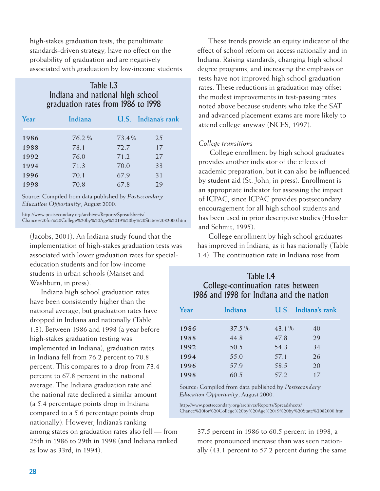high-stakes graduation tests, the penultimate standards-driven strategy, have no effect on the probability of graduation and are negatively associated with graduation by low-income students

#### Table 1.3 Indiana and national high school graduation rates from 1986 to 1998

| Year | Indiana |       | U.S. Indiana's rank |
|------|---------|-------|---------------------|
| 1986 | 76.2%   | 73.4% | 2.5                 |
| 1988 | 78.1    | 72.7  | 17                  |
| 1992 | 76.0    | 71.2  | 27                  |
| 1994 | 71.3    | 70.0  | 33                  |
| 1996 | 70.1    | 67.9  | 31                  |
| 1998 | 70.8    | 67.8  | 29                  |

Source: Compiled from data published by *Postsecondary Education Opportunity*, August 2000.

http://www.postsecondary.org/archives/Reports/Spreadsheets/ Chance%20for%20College%20by%20Age%2019%20by%20State%2082000.htm

(Jacobs, 2001). An Indiana study found that the implementation of high-stakes graduation tests was associated with lower graduation rates for specialeducation students and for low-income students in urban schools (Manset and Washburn, in press).

Indiana high school graduation rates have been consistently higher than the national average, but graduation rates have dropped in Indiana and nationally (Table 1.3). Between 1986 and 1998 (a year before high-stakes graduation testing was implemented in Indiana), graduation rates in Indiana fell from 76.2 percent to 70.8 percent. This compares to a drop from 73.4 percent to 67.8 percent in the national average. The Indiana graduation rate and the national rate declined a similar amount (a 5.4 percentage points drop in Indiana compared to a 5.6 percentage points drop nationally). However, Indiana's ranking

among states on graduation rates also fell — from 25th in 1986 to 29th in 1998 (and Indiana ranked as low as 33rd, in 1994).

These trends provide an equity indicator of the effect of school reform on access nationally and in Indiana. Raising standards, changing high school degree programs, and increasing the emphasis on tests have not improved high school graduation rates. These reductions in graduation may offset the modest improvements in test-passing rates noted above because students who take the SAT and advanced placement exams are more likely to attend college anyway (NCES, 1997).

#### *College transitions*

College enrollment by high school graduates provides another indicator of the effects of academic preparation, but it can also be influenced by student aid (St. John, in press). Enrollment is an appropriate indicator for assessing the impact of ICPAC, since ICPAC provides postsecondary encouragement for all high school students and has been used in prior descriptive studies (Hossler and Schmit, 1995).

College enrollment by high school graduates has improved in Indiana, as it has nationally (Table 1.4). The continuation rate in Indiana rose from

#### Table 1.4 College-continuation rates between 1986 and 1998 for Indiana and the nation

| Year | Indiana |       | U.S. Indiana's rank |
|------|---------|-------|---------------------|
| 1986 | 37.5 %  | 43.1% | 40                  |
| 1988 | 44.8    | 47.8  | 29                  |
| 1992 | 50.5    | 54.3  | 34                  |
| 1994 | 55.0    | 57.1  | 26                  |
| 1996 | 57.9    | 58.5  | 20                  |
| 1998 | 60.5    | 57.2  | 17                  |

Source: Compiled from data published by *Postsecondary Education Opportunity*, August 2000.

http://www.postsecondary.org/archives/Reports/Spreadsheets/ Chance%20for%20College%20by%20Age%2019%20by%20State%2082000.htm

37.5 percent in 1986 to 60.5 percent in 1998, a more pronounced increase than was seen nationally (43.1 percent to 57.2 percent during the same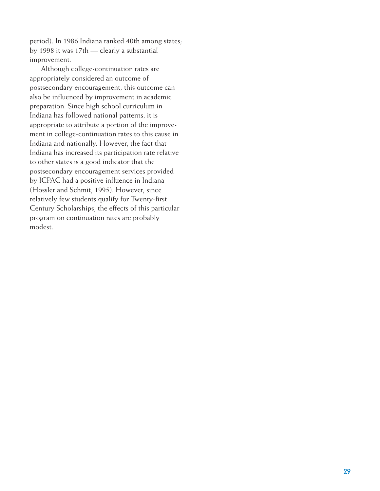period). In 1986 Indiana ranked 40th among states; by 1998 it was 17th — clearly a substantial improvement.

Although college-continuation rates are appropriately considered an outcome of postsecondary encouragement, this outcome can also be influenced by improvement in academic preparation. Since high school curriculum in Indiana has followed national patterns, it is appropriate to attribute a portion of the improvement in college-continuation rates to this cause in Indiana and nationally. However, the fact that Indiana has increased its participation rate relative to other states is a good indicator that the postsecondary encouragement services provided by ICPAC had a positive influence in Indiana (Hossler and Schmit, 1995). However, since relatively few students qualify for Twenty-first Century Scholarships, the effects of this particular program on continuation rates are probably modest.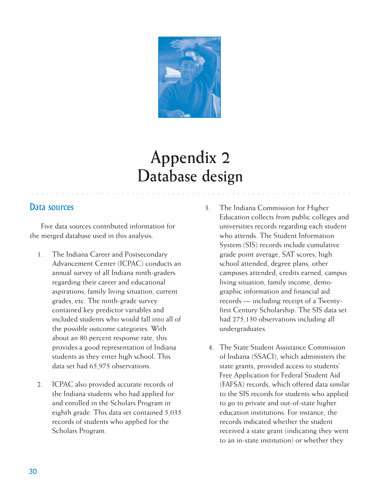

## **Appendix 2 Database design**

○○○○○○○○○○○○ ○○○○○○○○○○○○○○○○○○○○○○○○○○○○○○○○○○○○○○○○○○○○○○○○○○○○

#### Data sources

Five data sources contributed information for the merged database used in this analysis.

- 1. The Indiana Career and Postsecondary Advancement Center (ICPAC) conducts an annual survey of all Indiana ninth-graders regarding their career and educational aspirations, family living situation, current grades, etc. The ninth-grade survey contained key predictor variables and included students who would fall into all of the possible outcome categories. With about an 80 percent response rate, this provides a good representation of Indiana students as they enter high school. This data set had 65,975 observations.
- 2. ICPAC also provided accurate records of the Indiana students who had applied for and enrolled in the Scholars Program in eighth grade. This data set contained 5,035 records of students who applied for the Scholars Program.
- 3. The Indiana Commission for Higher Education collects from public colleges and universities records regarding each student who attends. The Student Information System (SIS) records include cumulative grade point average, SAT scores, high school attended, degree plans, other campuses attended, credits earned, campus living situation, family income, demographic information and financial aid records — including receipt of a Twentyfirst Century Scholarship. The SIS data set had 275,130 observations including all undergraduates.
- 4. The State Student Assistance Commission of Indiana (SSACI), which administers the state grants, provided access to students' Free Application for Federal Student Aid (FAFSA) records, which offered data similar to the SIS records for students who applied to go to private and out-of-state higher education institutions. For instance, the records indicated whether the student received a state grant (indicating they went to an in-state institution) or whether they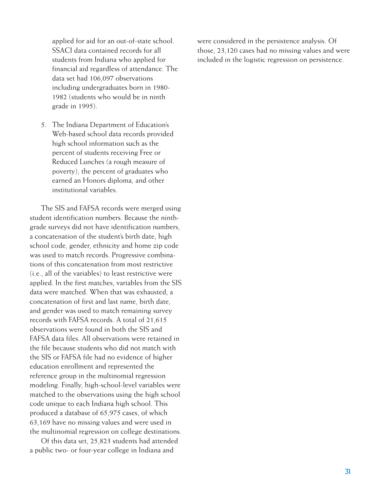applied for aid for an out-of-state school. SSACI data contained records for all students from Indiana who applied for financial aid regardless of attendance. The data set had 106,097 observations including undergraduates born in 1980- 1982 (students who would be in ninth grade in 1995).

5. The Indiana Department of Education's Web-based school data records provided high school information such as the percent of students receiving Free or Reduced Lunches (a rough measure of poverty), the percent of graduates who earned an Honors diploma, and other institutional variables.

The SIS and FAFSA records were merged using student identification numbers. Because the ninthgrade surveys did not have identification numbers, a concatenation of the student's birth date, high school code, gender, ethnicity and home zip code was used to match records. Progressive combinations of this concatenation from most restrictive (i.e., all of the variables) to least restrictive were applied. In the first matches, variables from the SIS data were matched. When that was exhausted, a concatenation of first and last name, birth date, and gender was used to match remaining survey records with FAFSA records. A total of 21,615 observations were found in both the SIS and FAFSA data files. All observations were retained in the file because students who did not match with the SIS or FAFSA file had no evidence of higher education enrollment and represented the reference group in the multinomial regression modeling. Finally, high-school-level variables were matched to the observations using the high school code unique to each Indiana high school. This produced a database of 65,975 cases, of which 63,169 have no missing values and were used in the multinomial regression on college destinations.

Of this data set, 25,823 students had attended a public two- or four-year college in Indiana and

were considered in the persistence analysis. Of those, 23,120 cases had no missing values and were included in the logistic regression on persistence.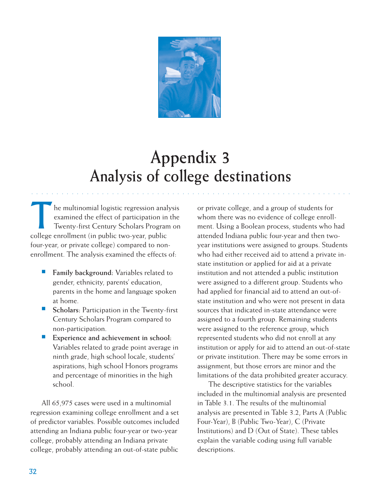

## **Appendix 3 Analysis of college destinations**

○○○○○○○○○○○○ ○○○○○○○○○○○○○○○○○○○○○○○○○○○○○○○○○○○○○○○○○○○○○○○○○○○○

he multinomial logistic regression analysis examined the effect of participation in the Twenty-first Century Scholars Program on college enrollment (in public two-year, public four-year, or private college) compared to nonenrollment. The analysis examined the effects of:

- **Family background:** Variables related to gender, ethnicity, parents' education, parents in the home and language spoken at home.
- **Scholars**: Participation in the Twenty-first Century Scholars Program compared to non-participation.
- **Experience and achievement in school:** Variables related to grade point average in ninth grade, high school locale, students' aspirations, high school Honors programs and percentage of minorities in the high school.

All 65,975 cases were used in a multinomial regression examining college enrollment and a set of predictor variables. Possible outcomes included attending an Indiana public four-year or two-year college, probably attending an Indiana private college, probably attending an out-of-state public

or private college, and a group of students for whom there was no evidence of college enrollment. Using a Boolean process, students who had attended Indiana public four-year and then twoyear institutions were assigned to groups. Students who had either received aid to attend a private instate institution or applied for aid at a private institution and not attended a public institution were assigned to a different group. Students who had applied for financial aid to attend an out-ofstate institution and who were not present in data sources that indicated in-state attendance were assigned to a fourth group. Remaining students were assigned to the reference group, which represented students who did not enroll at any institution or apply for aid to attend an out-of-state or private institution. There may be some errors in assignment, but those errors are minor and the limitations of the data prohibited greater accuracy.

The descriptive statistics for the variables included in the multinomial analysis are presented in Table 3.1. The results of the multinomial analysis are presented in Table 3.2, Parts A (Public Four-Year), B (Public Two-Year), C (Private Institutions) and D (Out of State). These tables explain the variable coding using full variable descriptions.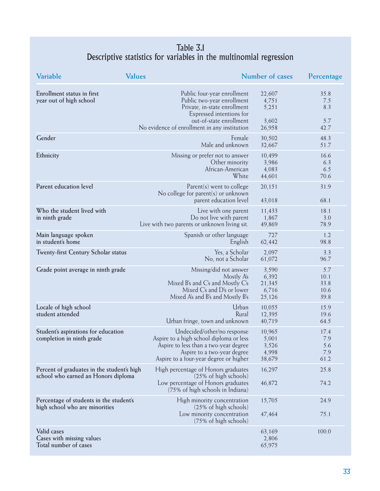#### Table 3.1 Descriptive statistics for variables in the multinomial regression

| Variable                                                                          | <b>Values</b>                                                                                                                                                                                    | Number of cases                             | Percentage                          |
|-----------------------------------------------------------------------------------|--------------------------------------------------------------------------------------------------------------------------------------------------------------------------------------------------|---------------------------------------------|-------------------------------------|
| Enrollment status in first<br>year out of high school                             | Public four-year enrollment<br>Public two-year enrollment<br>Private, in-state enrollment<br>Expressed intentions for<br>out-of-state enrollment<br>No evidence of enrollment in any institution | 22,607<br>4,751<br>5,251<br>3,602<br>26,958 | 35.8<br>7.5<br>8.3<br>5.7<br>42.7   |
| Gender                                                                            | Female<br>Male and unknown                                                                                                                                                                       | 30,502<br>32,667                            | 48.3<br>51.7                        |
| Ethnicity                                                                         | Missing or prefer not to answer<br>Other minority<br>African-American<br>White                                                                                                                   | 10,499<br>3,986<br>4,083<br>44,601          | 16.6<br>6.3<br>6.5<br>70.6          |
| Parent education level                                                            | $Parent(s)$ went to college<br>No college for parent(s) or unknown<br>parent education level                                                                                                     | 20, 151<br>43,018                           | 31.9<br>68.1                        |
| Who the student lived with<br>in ninth grade                                      | Live with one parent<br>Do not live with parent<br>Live with two parents or unknown living sit.                                                                                                  | 11,433<br>1,867<br>49,869                   | 18.1<br>3.0<br>78.9                 |
| Main language spoken<br>in student's home                                         | Spanish or other language<br>English                                                                                                                                                             | 727<br>62,442                               | 1.2<br>98.8                         |
| Twenty-first Century Scholar status                                               | Yes, a Scholar<br>No, not a Scholar                                                                                                                                                              | 2,097<br>61,072                             | 3.3<br>96.7                         |
| Grade point average in ninth grade                                                | Missing/did not answer<br>Mostly A's<br>Mixed B's and C's and Mostly C's<br>Mixed C's and D's or lower<br>Mixed A's and B's and Mostly B's                                                       | 3,590<br>6,392<br>21,345<br>6,716<br>25,126 | 5.7<br>10.1<br>33.8<br>10.6<br>39.8 |
| Locale of high school<br>student attended                                         | Urban<br>Rural<br>Urban fringe, town and unknown                                                                                                                                                 | 10,055<br>12,395<br>40,719                  | 15.9<br>19.6<br>64.5                |
| Student's aspirations for education<br>completion in ninth grade                  | Undecided/other/no response<br>Aspire to a high school diploma or less<br>Aspire to less than a two-year degree<br>Aspire to a two-year degree<br>Aspire to a four-year degree or higher         | 10,965<br>5,001<br>3,526<br>4,998<br>38,679 | 17.4<br>7.9<br>5.6<br>7.9<br>61.2   |
| Percent of graduates in the student's high<br>school who earned an Honors diploma | High percentage of Honors graduates<br>$(25\% \text{ of high schools})$<br>Low percentage of Honors graduates<br>(75% of high schools in Indiana)                                                | 16,297<br>46,872                            | 25.8<br>74.2                        |
| Percentage of students in the student's<br>high school who are minorities         | High minority concentration<br>(25% of high schools)<br>Low minority concentration<br>(75% of high schools)                                                                                      | 15,705<br>47,464                            | 24.9<br>75.1                        |
| Valid cases<br>Cases with missing values<br>Total number of cases                 |                                                                                                                                                                                                  | 63,169<br>2,806<br>65,975                   | 100.0                               |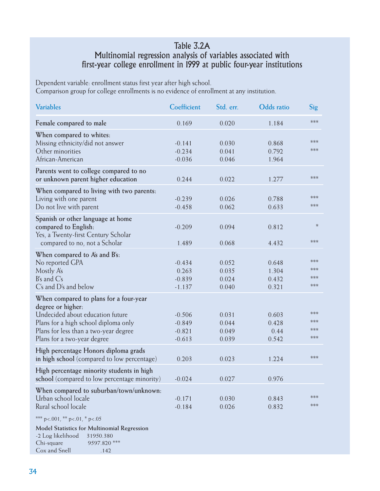#### Table 3.2A Multinomial regression analysis of variables associated with first-year college enrollment in 1999 at public four-year institutions

Dependent variable: enrollment status first year after high school. Comparison group for college enrollments is no evidence of enrollment at any institution.

| <b>Variables</b>                                                                                                                                                                                                | Coefficient                                  | Std. err.                        | <b>Odds</b> ratio                | Sig                        |
|-----------------------------------------------------------------------------------------------------------------------------------------------------------------------------------------------------------------|----------------------------------------------|----------------------------------|----------------------------------|----------------------------|
| Female compared to male                                                                                                                                                                                         | 0.169                                        | 0.020                            | 1.184                            | ***                        |
| When compared to whites:<br>Missing ethnicity/did not answer<br>Other minorities<br>African-American                                                                                                            | $-0.141$<br>$-0.234$<br>$-0.036$             | 0.030<br>0.041<br>0.046          | 0.868<br>0.792<br>1.964          | ***<br>$***$               |
| Parents went to college compared to no<br>or unknown parent higher education                                                                                                                                    | 0.244                                        | 0.022                            | 1.277                            | ***                        |
| When compared to living with two parents:<br>Living with one parent<br>Do not live with parent                                                                                                                  | $-0.239$<br>$-0.458$                         | 0.026<br>0.062                   | 0.788<br>0.633                   | ***<br>$***$               |
| Spanish or other language at home<br>compared to English:<br>Yes, a Twenty-first Century Scholar<br>compared to no, not a Scholar                                                                               | $-0.209$<br>1.489                            | 0.094<br>0.068                   | 0.812<br>4.432                   | $\ast$<br>***              |
| When compared to A's and B's:<br>No reported GPA<br>Mostly A's<br>$B's$ and $C's$<br>C's and D's and below                                                                                                      | $-0.434$<br>0.263<br>$-0.839$<br>$-1.137$    | 0.052<br>0.035<br>0.024<br>0.040 | 0.648<br>1.304<br>0.432<br>0.321 | ***<br>***<br>***<br>$***$ |
| When compared to plans for a four-year<br>degree or higher:<br>Undecided about education future<br>Plans for a high school diploma only<br>Plans for less than a two-year degree<br>Plans for a two-year degree | $-0.506$<br>$-0.849$<br>$-0.821$<br>$-0.613$ | 0.031<br>0.044<br>0.049<br>0.039 | 0.603<br>0.428<br>0.44<br>0.542  | $***$<br>***<br>***<br>*** |
| High percentage Honors diploma grads<br>in high school (compared to low percentage)                                                                                                                             | 0.203                                        | 0.023                            | 1.224                            | ***                        |
| High percentage minority students in high<br>school (compared to low percentage minority)                                                                                                                       | $-0.024$                                     | 0.027                            | 0.976                            |                            |
| When compared to suburban/town/unknown:<br>Urban school locale<br>Rural school locale                                                                                                                           | $-0.171$<br>$-0.184$                         | 0.030<br>0.026                   | 0.843<br>0.832                   | ***<br>***                 |
| *** $p < .001$ , ** $p < .01$ , * $p < .05$<br>Model Statistics for Multinomial Regression<br>-2 Log likelihood<br>31950.380<br>9597.820 ***<br>Chi-square                                                      |                                              |                                  |                                  |                            |

Cox and Snell .142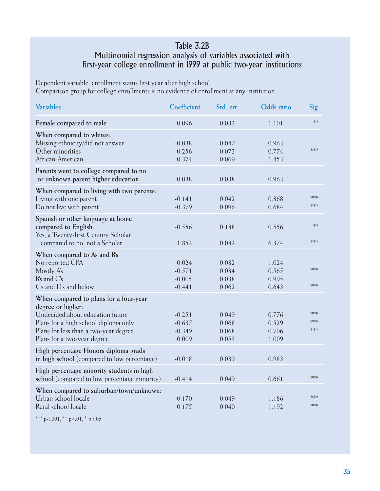#### Table 3.2B Multinomial regression analysis of variables associated with first-year college enrollment in 1999 at public two-year institutions

Dependent variable: enrollment status first year after high school. Comparison group for college enrollments is no evidence of enrollment at any institution.

| <b>Variables</b>                                                                                                                                                                                                | Coefficient                               | Std. err.                        | Odds ratio                       | Sig                 |
|-----------------------------------------------------------------------------------------------------------------------------------------------------------------------------------------------------------------|-------------------------------------------|----------------------------------|----------------------------------|---------------------|
| Female compared to male                                                                                                                                                                                         | 0.096                                     | 0.032                            | 1.101                            | $**$                |
| When compared to whites:<br>Missing ethnicity/did not answer<br>Other minorities<br>African-American                                                                                                            | $-0.038$<br>$-0.256$<br>0.374             | 0.047<br>0.072<br>0.069          | 0.963<br>0.774<br>1.453          | ***                 |
| Parents went to college compared to no<br>or unknown parent higher education                                                                                                                                    | $-0.038$                                  | 0.038                            | 0.963                            |                     |
| When compared to living with two parents:<br>Living with one parent<br>Do not live with parent                                                                                                                  | $-0.141$<br>$-0.379$                      | 0.042<br>0.096                   | 0.868<br>0.684                   | ***<br>***          |
| Spanish or other language at home<br>compared to English:<br>Yes, a Twenty-first Century Scholar<br>compared to no, not a Scholar                                                                               | $-0.586$<br>1.852                         | 0.188<br>0.082                   | 0.556<br>6.374                   | $**$<br>***         |
| When compared to A's and B's:<br>No reported GPA<br>Mostly A's<br>$B's$ and $C's$<br>C's and D's and below                                                                                                      | 0.024<br>$-0.571$<br>$-0.005$<br>$-0.441$ | 0.082<br>0.084<br>0.038<br>0.062 | 1.024<br>0.565<br>0.995<br>0.643 | ***<br>***          |
| When compared to plans for a four-year<br>degree or higher:<br>Undecided about education future<br>Plans for a high school diploma only<br>Plans for less than a two-year degree<br>Plans for a two-year degree | $-0.251$<br>$-0.637$<br>$-0.349$<br>0.009 | 0.049<br>0.068<br>0.068<br>0.053 | 0.776<br>0.529<br>0.706<br>1.009 | ***<br>***<br>$***$ |
| High percentage Honors diploma grads<br>in high school (compared to low percentage)                                                                                                                             | $-0.018$                                  | 0.039                            | 0.983                            |                     |
| High percentage minority students in high<br>school (compared to low percentage minority)                                                                                                                       | $-0.414$                                  | 0.049                            | 0.661                            | ***                 |
| When compared to suburban/town/unknown:<br>Urban school locale<br>Rural school locale                                                                                                                           | 0.170<br>0.175                            | 0.049<br>0.040                   | 1.186<br>1.192                   | ***<br>***          |

\*\*\* p<.001, \*\* p<.01, \* p<.05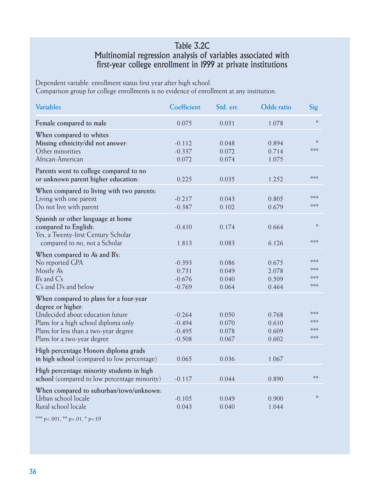#### Table 3.2C Multinomial regression analysis of variables associated with first-year college enrollment in 1999 at private institutions

Dependent variable: enrollment status first year after high school. Comparison group for college enrollments is no evidence of enrollment at any institution.

| <b>Variables</b>                                                                                                                                                                                                | Coefficient                                  | Std. err.                        | Odds ratio                       | Sig                              |
|-----------------------------------------------------------------------------------------------------------------------------------------------------------------------------------------------------------------|----------------------------------------------|----------------------------------|----------------------------------|----------------------------------|
| Female compared to male                                                                                                                                                                                         | 0.075                                        | 0.031                            | 1.078                            | $\ast$                           |
| When compared to whites<br>Missing ethnicity/did not answer:<br>Other minorities<br>African-American                                                                                                            | $-0.112$<br>$-0.337$<br>0.072                | 0.048<br>0.072<br>0.074          | 0.894<br>0.714<br>1.075          | $\ast$<br>$***$                  |
| Parents went to college compared to no<br>or unknown parent higher education:                                                                                                                                   | 0.225                                        | 0.035                            | 1.252                            | ***                              |
| When compared to living with two parents:<br>Living with one parent<br>Do not live with parent                                                                                                                  | $-0.217$<br>$-0.387$                         | 0.043<br>0.102                   | 0.805<br>0.679                   | ***<br>***                       |
| Spanish or other language at home<br>compared to English:<br>Yes, a Twenty-first Century Scholar<br>compared to no, not a Scholar                                                                               | $-0.410$<br>1.813                            | 0.174<br>0.083                   | 0.664<br>6.126                   | $\ast$<br>***                    |
| When compared to A's and B's:<br>No reported GPA<br>Mostly A's<br>$B's$ and $C's$<br>C's and D's and below                                                                                                      | $-0.393$<br>0.731<br>$-0.676$<br>$-0.769$    | 0.086<br>0.049<br>0.040<br>0.064 | 0.675<br>2.078<br>0.509<br>0.464 | $***$<br>$***$<br>$***$<br>$***$ |
| When compared to plans for a four-year<br>degree or higher:<br>Undecided about education future<br>Plans for a high school diploma only<br>Plans for less than a two-year degree<br>Plans for a two-year degree | $-0.264$<br>$-0.494$<br>$-0.495$<br>$-0.508$ | 0.050<br>0.070<br>0.078<br>0.067 | 0.768<br>0.610<br>0.609<br>0.602 | $***$<br>***<br>***<br>***       |
| High percentage Honors diploma grads<br>in high school (compared to low percentage)                                                                                                                             | 0.065                                        | 0.036                            | 1.067                            |                                  |
| High percentage minority students in high<br>school (compared to low percentage minority)                                                                                                                       | $-0.117$                                     | 0.044                            | 0.890                            | $**$                             |
| When compared to suburban/town/unknown:<br>Urban school locale<br>Rural school locale                                                                                                                           | $-0.105$<br>0.043                            | 0.049<br>0.040                   | 0.900<br>1.044                   | $\ast$                           |

\*\*\* p<.001, \*\* p<.01, \* p<.05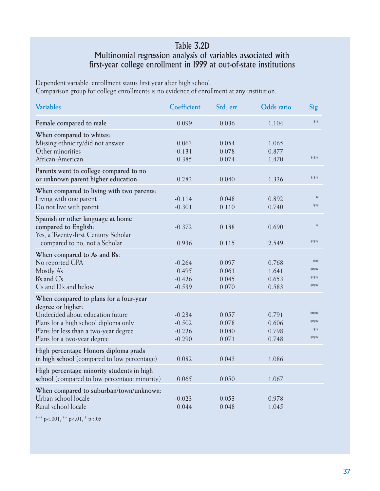#### Table 3.2D Multinomial regression analysis of variables associated with first-year college enrollment in 1999 at out-of-state institutions

Dependent variable: enrollment status first year after high school. Comparison group for college enrollments is no evidence of enrollment at any institution.

| <b>Variables</b>                                                                                                                                                                                                | Coefficient                                  | Std. err.                        | <b>Odds</b> ratio                | Sig                       |
|-----------------------------------------------------------------------------------------------------------------------------------------------------------------------------------------------------------------|----------------------------------------------|----------------------------------|----------------------------------|---------------------------|
| Female compared to male                                                                                                                                                                                         | 0.099                                        | 0.036                            | 1.104                            | $**$                      |
| When compared to whites:<br>Missing ethnicity/did not answer<br>Other minorities<br>African-American                                                                                                            | 0.063<br>$-0.131$<br>0.385                   | 0.054<br>0.078<br>0.074          | 1.065<br>0.877<br>1.470          | ***                       |
| Parents went to college compared to no<br>or unknown parent higher education                                                                                                                                    | 0.282                                        | 0.040                            | 1.326                            | ***                       |
| When compared to living with two parents:<br>Living with one parent<br>Do not live with parent                                                                                                                  | $-0.114$<br>$-0.301$                         | 0.048<br>0.110                   | 0.892<br>0.740                   | $\ast$<br>$**$            |
| Spanish or other language at home<br>compared to English:<br>Yes, a Twenty-first Century Scholar<br>compared to no, not a Scholar                                                                               | $-0.372$<br>0.936                            | 0.188<br>0.115                   | 0.690<br>2.549                   | $\ast$<br>***             |
| When compared to A's and B's:<br>No reported GPA<br>Mostly A's<br>B's and C's<br>C's and D's and below                                                                                                          | $-0.264$<br>0.495<br>$-0.426$<br>$-0.539$    | 0.097<br>0.061<br>0.045<br>0.070 | 0.768<br>1.641<br>0.653<br>0.583 | $**$<br>***<br>***<br>*** |
| When compared to plans for a four-year<br>degree or higher:<br>Undecided about education future<br>Plans for a high school diploma only<br>Plans for less than a two-year degree<br>Plans for a two-year degree | $-0.234$<br>$-0.502$<br>$-0.226$<br>$-0.290$ | 0.057<br>0.078<br>0.080<br>0.071 | 0.791<br>0.606<br>0.798<br>0.748 | ***<br>***<br>$**$<br>*** |
| High percentage Honors diploma grads<br>in high school (compared to low percentage)                                                                                                                             | 0.082                                        | 0.043                            | 1.086                            |                           |
| High percentage minority students in high<br>school (compared to low percentage minority)                                                                                                                       | 0.065                                        | 0.050                            | 1.067                            |                           |
| When compared to suburban/town/unknown:<br>Urban school locale<br>Rural school locale                                                                                                                           | $-0.023$<br>0.044                            | 0.053<br>0.048                   | 0.978<br>1.045                   |                           |

\*\*\* p<.001, \*\* p<.01, \* p<.05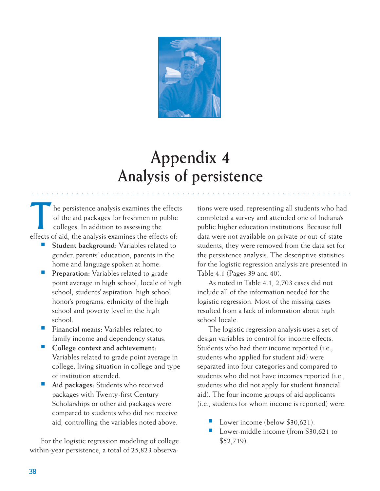

## **Appendix 4 Analysis of persistence**

○○○○○○○○○○○○ ○○○○○○○○○○○○○○○○○○○○○○○○○○○○○○○○○○○○○○○○○○○○○○○○○○○○

The persistence analysis examines the effects<br>of the aid packages for freshmen in public<br>colleges. In addition to assessing the of the aid packages for freshmen in public colleges. In addition to assessing the effects of aid, the analysis examines the effects of:

- Student background: Variables related to gender, parents' education, parents in the home and language spoken at home.
- Preparation: Variables related to grade point average in high school, locale of high school, students' aspiration, high school honor's programs, ethnicity of the high school and poverty level in the high school.
- **Financial means:** Variables related to family income and dependency status.
- **College context and achievement:** Variables related to grade point average in college, living situation in college and type of institution attended.
- Aid packages: Students who received packages with Twenty-first Century Scholarships or other aid packages were compared to students who did not receive aid, controlling the variables noted above.

For the logistic regression modeling of college within-year persistence, a total of 25,823 observations were used, representing all students who had completed a survey and attended one of Indiana's public higher education institutions. Because full data were not available on private or out-of-state students, they were removed from the data set for the persistence analysis. The descriptive statistics for the logistic regression analysis are presented in Table 4.1 (Pages 39 and 40).

As noted in Table 4.1, 2,703 cases did not include all of the information needed for the logistic regression. Most of the missing cases resulted from a lack of information about high school locale.

The logistic regression analysis uses a set of design variables to control for income effects. Students who had their income reported (i.e., students who applied for student aid) were separated into four categories and compared to students who did not have incomes reported (i.e., students who did not apply for student financial aid). The four income groups of aid applicants (i.e., students for whom income is reported) were:

- Lower income (below  $$30,621$ ).
- Lower-middle income (from \$30,621 to  $$52,719$ ).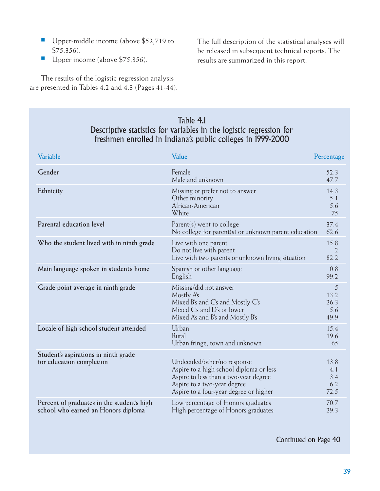- Upper-middle income (above \$52,719 to \$75,356).
- Upper income (above \$75,356).

The full description of the statistical analyses will be released in subsequent technical reports. The results are summarized in this report.

The results of the logistic regression analysis are presented in Tables 4.2 and 4.3 (Pages 41-44).

#### Table 4.1 Descriptive statistics for variables in the logistic regression for freshmen enrolled in Indiana's public colleges in 1999-2000

| Variable                                                                          | Value                                                                                                                                                                                    | Percentage                        |
|-----------------------------------------------------------------------------------|------------------------------------------------------------------------------------------------------------------------------------------------------------------------------------------|-----------------------------------|
| Gender                                                                            | Female<br>Male and unknown                                                                                                                                                               | 52.3<br>47.7                      |
| Ethnicity                                                                         | Missing or prefer not to answer<br>Other minority<br>African-American<br>White                                                                                                           | 14.3<br>5.1<br>5.6<br>75          |
| Parental education level                                                          | $Parent(s)$ went to college<br>No college for parent(s) or unknown parent education                                                                                                      | 37.4<br>62.6                      |
| Who the student lived with in ninth grade                                         | Live with one parent<br>Do not live with parent<br>Live with two parents or unknown living situation                                                                                     | 15.8<br>2<br>82.2                 |
| Main language spoken in student's home                                            | Spanish or other language<br>English                                                                                                                                                     | 0.8<br>99.2                       |
| Grade point average in ninth grade                                                | Missing/did not answer<br>Mostly A's<br>Mixed B's and C's and Mostly C's<br>Mixed C's and D's or lower<br>Mixed A's and B's and Mostly B's                                               | 5<br>13.2<br>26.3<br>5.6<br>49.9  |
| Locale of high school student attended                                            | Urban<br>Rural<br>Urban fringe, town and unknown                                                                                                                                         | 15.4<br>19.6<br>65                |
| Student's aspirations in ninth grade<br>for education completion                  | Undecided/other/no response<br>Aspire to a high school diploma or less<br>Aspire to less than a two-year degree<br>Aspire to a two-year degree<br>Aspire to a four-year degree or higher | 13.8<br>4.1<br>3.4<br>6.2<br>72.5 |
| Percent of graduates in the student's high<br>school who earned an Honors diploma | Low percentage of Honors graduates<br>High percentage of Honors graduates                                                                                                                | 70.7<br>29.3                      |

Continued on Page 40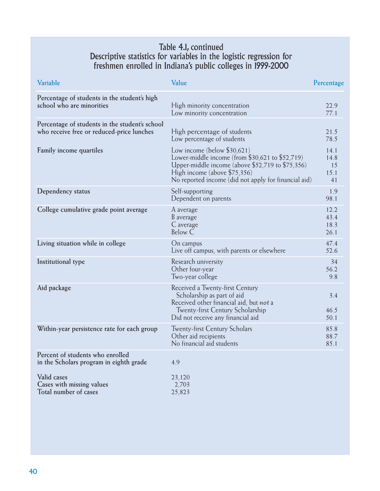#### Table 4.1, continued Descriptive statistics for variables in the logistic regression for freshmen enrolled in Indiana's public colleges in 1999-2000

| Variable                                                                                    | Value                                                                                                                                                                                                                           | Percentage                       |
|---------------------------------------------------------------------------------------------|---------------------------------------------------------------------------------------------------------------------------------------------------------------------------------------------------------------------------------|----------------------------------|
| Percentage of students in the student's high<br>school who are minorities                   | High minority concentration<br>Low minority concentration                                                                                                                                                                       | 22.9<br>77.1                     |
| Percentage of students in the student's school<br>who receive free or reduced-price lunches | High percentage of students<br>Low percentage of students                                                                                                                                                                       | 21.5<br>78.5                     |
| Family income quartiles                                                                     | Low income (below $$30,621$ )<br>Lower-middle income (from \$30,621 to \$52,719)<br>Upper-middle income (above $$52,719$ to $$75,356$ )<br>High income (above \$75,356)<br>No reported income (did not apply for financial aid) | 14.1<br>14.8<br>15<br>15.1<br>41 |
| Dependency status                                                                           | Self-supporting<br>Dependent on parents                                                                                                                                                                                         | 1.9<br>98.1                      |
| College cumulative grade point average                                                      | A average<br>B average<br>C average<br><b>Below C</b>                                                                                                                                                                           | 12.2<br>43.4<br>18.3<br>26.1     |
| Living situation while in college                                                           | On campus<br>Live off campus, with parents or elsewhere                                                                                                                                                                         | 47.4<br>52.6                     |
| Institutional type                                                                          | Research university<br>Other four-year<br>Two-year college                                                                                                                                                                      | 34<br>56.2<br>9.8                |
| Aid package                                                                                 | Received a Twenty-first Century<br>Scholarship as part of aid<br>Received other financial aid, but not a<br>Twenty-first Century Scholarship<br>Did not receive any financial aid                                               | 3.4<br>46.5<br>50.1              |
| Within-year persistence rate for each group                                                 | <b>Twenty-first Century Scholars</b><br>Other aid recipients<br>No financial aid students                                                                                                                                       | 85.8<br>88.7<br>85.1             |
| Percent of students who enrolled<br>in the Scholars program in eighth grade                 | 4.9                                                                                                                                                                                                                             |                                  |
| Valid cases<br>Cases with missing values<br>Total number of cases                           | 23,120<br>2,703<br>25,823                                                                                                                                                                                                       |                                  |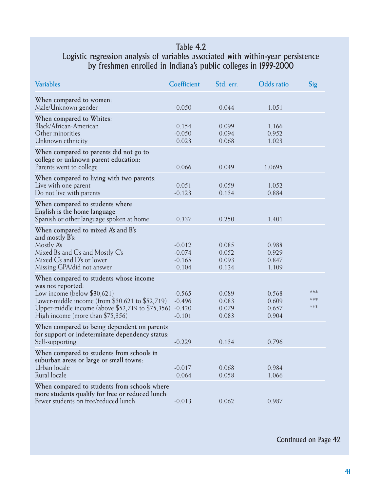#### Table 4.2 Logistic regression analysis of variables associated with within-year persistence by freshmen enrolled in Indiana's public colleges in 1999-2000

| <b>Variables</b>                                                                                                                                                                                                                                | Coefficient                                  | Std. err.                        | <b>Odds</b> ratio                | Sig               |
|-------------------------------------------------------------------------------------------------------------------------------------------------------------------------------------------------------------------------------------------------|----------------------------------------------|----------------------------------|----------------------------------|-------------------|
| When compared to women:<br>Male/Unknown gender                                                                                                                                                                                                  | 0.050                                        | 0.044                            | 1.051                            |                   |
| When compared to Whites:<br>Black/African-American<br>Other minorities<br>Unknown ethnicity                                                                                                                                                     | 0.154<br>$-0.050$<br>0.023                   | 0.099<br>0.094<br>0.068          | 1.166<br>0.952<br>1.023          |                   |
| When compared to parents did not go to<br>college or unknown parent education:<br>Parents went to college                                                                                                                                       | 0.066                                        | 0.049                            | 1.0695                           |                   |
| When compared to living with two parents:<br>Live with one parent<br>Do not live with parents                                                                                                                                                   | 0.051<br>$-0.123$                            | 0.059<br>0.134                   | 1.052<br>0.884                   |                   |
| When compared to students where<br>English is the home language:<br>Spanish or other language spoken at home                                                                                                                                    | 0.337                                        | 0.250                            | 1.401                            |                   |
| When compared to mixed A's and B's<br>and mostly B's:<br>Mostly A's<br>Mixed B's and $\mathrm{C}\mathrm{s}$ and Mostly $\mathrm{C}\mathrm{s}$<br>Mixed C's and D's or lower<br>Missing GPA/did not answer                                       | $-0.012$<br>$-0.074$<br>$-0.165$<br>0.104    | 0.085<br>0.052<br>0.093<br>0.124 | 0.988<br>0.929<br>0.847<br>1.109 |                   |
| When compared to students whose income<br>was not reported:<br>Low income (below $$30,621$ )<br>Lower-middle income (from $$30,621$ to $$52,719$ )<br>Upper-middle income (above $$52,719$ to $$75,356$ )<br>High income (more than $$75,356$ ) | $-0.565$<br>$-0.496$<br>$-0.420$<br>$-0.101$ | 0.089<br>0.083<br>0.079<br>0.083 | 0.568<br>0.609<br>0.657<br>0.904 | ***<br>***<br>*** |
| When compared to being dependent on parents<br>for support or indeterminate dependency status:<br>Self-supporting                                                                                                                               | $-0.229$                                     | 0.134                            | 0.796                            |                   |
| When compared to students from schools in<br>suburban areas or large or small towns:<br>Urban locale<br>Rural locale                                                                                                                            | $-0.017$<br>0.064                            | 0.068<br>0.058                   | 0.984<br>1.066                   |                   |
| When compared to students from schools where<br>more students qualify for free or reduced lunch.<br>Fewer students on free/reduced lunch                                                                                                        | $-0.013$                                     | 0.062                            | 0.987                            |                   |

Continued on Page 42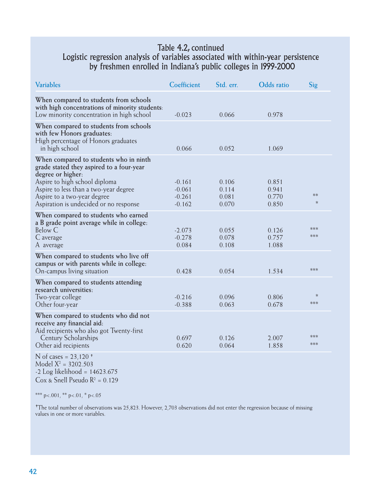#### Table 4.2, continued Logistic regression analysis of variables associated with within-year persistence by freshmen enrolled in Indiana's public colleges in 1999-2000

| <b>Variables</b>                                                                                                                                                                                                                                           | Coefficient                                  | Std. err.                        | <b>Odds</b> ratio                | Sig            |
|------------------------------------------------------------------------------------------------------------------------------------------------------------------------------------------------------------------------------------------------------------|----------------------------------------------|----------------------------------|----------------------------------|----------------|
| When compared to students from schools<br>with high concentrations of minority students:<br>Low minority concentration in high school                                                                                                                      | $-0.023$                                     | 0.066                            | 0.978                            |                |
| When compared to students from schools<br>with few Honors graduates:<br>High percentage of Honors graduates<br>in high school                                                                                                                              | 0.066                                        | 0.052                            | 1.069                            |                |
| When compared to students who in ninth<br>grade stated they aspired to a four-year<br>degree or higher:<br>Aspire to high school diploma<br>Aspire to less than a two-year degree<br>Aspire to a two-year degree<br>Aspiration is undecided or no response | $-0.161$<br>$-0.061$<br>$-0.261$<br>$-0.162$ | 0.106<br>0.114<br>0.081<br>0.070 | 0.851<br>0.941<br>0.770<br>0.850 | $**$<br>$\ast$ |
| When compared to students who earned<br>a B grade point average while in college:<br>Below C<br>C average<br>A average                                                                                                                                     | $-2.073$<br>$-0.278$<br>0.084                | 0.055<br>0.078<br>0.108          | 0.126<br>0.757<br>1.088          | ***<br>***     |
| When compared to students who live off<br>campus or with parents while in college:<br>On-campus living situation                                                                                                                                           | 0.428                                        | 0.054                            | 1.534                            | ***            |
| When compared to students attending<br>research universities:<br>Two-year college<br>Other four-year                                                                                                                                                       | $-0.216$<br>$-0.388$                         | 0.096<br>0.063                   | 0.806<br>0.678                   | $\ast$<br>***  |
| When compared to students who did not<br>receive any financial aid:<br>Aid recipients who also got Twenty-first<br>Century Scholarships<br>Other aid recipients                                                                                            | 0.697<br>0.620                               | 0.126<br>0.064                   | 2.007<br>1.858                   | ***<br>***     |
| N of cases = $23,120$ <sup>+</sup><br>Model $X^2 = 3202.503$                                                                                                                                                                                               |                                              |                                  |                                  |                |

-2 Log likelihood = 14623.675  $Cox \& Snell Pseudo R<sup>2</sup> = 0.129$ 

\*\*\* p <.001, \*\* p <.01, \* p <.05

✝The total number of observations was 25,823. However, 2,703 observations did not enter the regression because of missing values in one or more variables.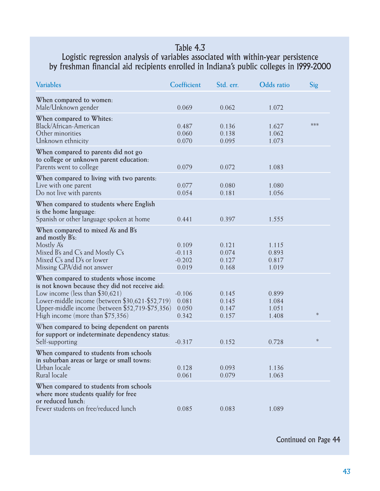#### Table 4.3

#### Logistic regression analysis of variables associated with within-year persistence by freshman financial aid recipients enrolled in Indiana's public colleges in 1999-2000

| <b>Variables</b>                                                                                                                                                                                                                                                          | Coefficient                            | Std. err.                        | <b>Odds</b> ratio                | Sig    |
|---------------------------------------------------------------------------------------------------------------------------------------------------------------------------------------------------------------------------------------------------------------------------|----------------------------------------|----------------------------------|----------------------------------|--------|
| When compared to women:<br>Male/Unknown gender                                                                                                                                                                                                                            | 0.069                                  | 0.062                            | 1.072                            |        |
| When compared to Whites:<br>Black/African-American<br>Other minorities<br>Unknown ethnicity                                                                                                                                                                               | 0.487<br>0.060<br>0.070                | 0.136<br>0.138<br>0.095          | 1.627<br>1.062<br>1.073          | ***    |
| When compared to parents did not go<br>to college or unknown parent education:<br>Parents went to college                                                                                                                                                                 | 0.079                                  | 0.072                            | 1.083                            |        |
| When compared to living with two parents:<br>Live with one parent<br>Do not live with parents                                                                                                                                                                             | 0.077<br>0.054                         | 0.080<br>0.181                   | 1.080<br>1.056                   |        |
| When compared to students where English<br>is the home language:<br>Spanish or other language spoken at home                                                                                                                                                              | 0.441                                  | 0.397                            | 1.555                            |        |
| When compared to mixed A's and B's<br>and mostly B's:<br>Mostly A's<br>Mixed B's and C's and Mostly C's<br>Mixed C's and D's or lower<br>Missing GPA/did not answer                                                                                                       | 0.109<br>$-0.113$<br>$-0.202$<br>0.019 | 0.121<br>0.074<br>0.127<br>0.168 | 1.115<br>0.893<br>0.817<br>1.019 |        |
| When compared to students whose income<br>is not known because they did not receive aid:<br>Low income (less than $$30,621$ )<br>Lower-middle income (between \$30,621-\$52,719)<br>Upper-middle income (between \$52,719-\$75,356)<br>High income (more than $$75,356$ ) | $-0.106$<br>0.081<br>0.050<br>0.342    | 0.145<br>0.145<br>0.147<br>0.157 | 0.899<br>1.084<br>1.051<br>1.408 | $\ast$ |
| When compared to being dependent on parents<br>for support or indeterminate dependency status:<br>Self-supporting                                                                                                                                                         | $-0.317$                               | 0.152                            | 0.728                            | $\ast$ |
| When compared to students from schools<br>in suburban areas or large or small towns:<br>Urban locale<br>Rural locale                                                                                                                                                      | 0.128<br>0.061                         | 0.093<br>0.079                   | 1.136<br>1.063                   |        |
| When compared to students from schools<br>where more students qualify for free<br>or reduced lunch:<br>Fewer students on free/reduced lunch                                                                                                                               | 0.085                                  | 0.083                            | 1.089                            |        |

Continued on Page 44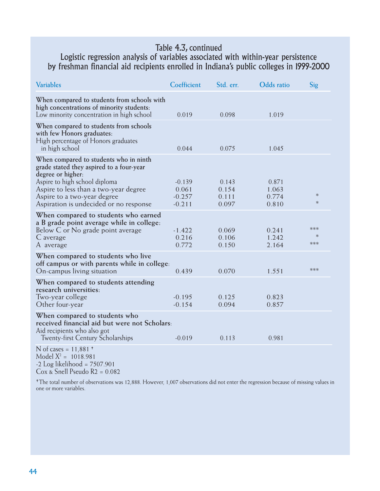#### Table 4.3, continued

#### Logistic regression analysis of variables associated with within-year persistence by freshman financial aid recipients enrolled in Indiana's public colleges in 1999-2000

| <b>Variables</b>                                                                                                                                                                                                 | Coefficient                               | Std. err.                        | <b>Odds</b> ratio                | Sig                  |
|------------------------------------------------------------------------------------------------------------------------------------------------------------------------------------------------------------------|-------------------------------------------|----------------------------------|----------------------------------|----------------------|
| When compared to students from schools with<br>high concentrations of minority students:<br>Low minority concentration in high school                                                                            | 0.019                                     | 0.098                            | 1.019                            |                      |
| When compared to students from schools<br>with few Honors graduates:<br>High percentage of Honors graduates<br>in high school                                                                                    | 0.044                                     | 0.075                            | 1.045                            |                      |
| When compared to students who in ninth<br>grade stated they aspired to a four-year<br>degree or higher:<br>Aspire to high school diploma<br>Aspire to less than a two-year degree<br>Aspire to a two-year degree | $-0.139$<br>0.061<br>$-0.257$<br>$-0.211$ | 0.143<br>0.154<br>0.111<br>0.097 | 0.871<br>1.063<br>0.774<br>0.810 | $\ast$<br>$\ast$     |
| Aspiration is undecided or no response<br>When compared to students who earned<br>a B grade point average while in college:<br>Below C or No grade point average<br>C average<br>A average                       | $-1.422$<br>0.216<br>0.772                | 0.069<br>0.106<br>0.150          | 0.241<br>1.242<br>2.164          | ***<br>$\ast$<br>*** |
| When compared to students who live<br>off campus or with parents while in college.<br>On-campus living situation                                                                                                 | 0.439                                     | 0.070                            | 1.551                            | ***                  |
| When compared to students attending<br>research universities:<br>Two-year college<br>Other four-year                                                                                                             | $-0.195$<br>$-0.154$                      | 0.125<br>0.094                   | 0.823<br>0.857                   |                      |
| When compared to students who<br>received financial aid but were not Scholars:<br>Aid recipients who also got<br><b>Twenty-first Century Scholarships</b>                                                        | $-0.019$                                  | 0.113                            | 0.981                            |                      |
| N of cases = $11,881$ <sup>+</sup><br>Model $X^2 = 1018.981$<br>$-2$ Log likelihood = $7507.901$                                                                                                                 |                                           |                                  |                                  |                      |

Cox & Snell Pseudo R2 = 0.082

✝ The total number of observations was 12,888. However, 1,007 observations did not enter the regression because of missing values in one or more variables.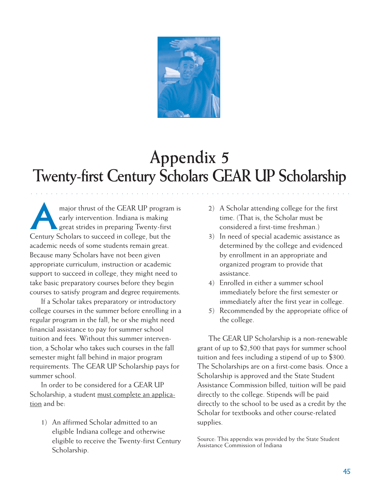

## **Appendix 5 Twenty-first Century Scholars GEAR UP Scholarship**

○○○○○○○○○○○ ○○○○○○○○○○○○○○○○○○○○○○○○○○○○○○○○○○○○○○○○○○○○○○○○○○○○○

major thrust of the GEAR UP program is<br>early intervention. Indiana is making<br>great strides in preparing Twenty-first early intervention. Indiana is making great strides in preparing Twenty-first Century Scholars to succeed in college, but the academic needs of some students remain great. Because many Scholars have not been given appropriate curriculum, instruction or academic support to succeed in college, they might need to take basic preparatory courses before they begin courses to satisfy program and degree requirements.

If a Scholar takes preparatory or introductory college courses in the summer before enrolling in a regular program in the fall, he or she might need financial assistance to pay for summer school tuition and fees. Without this summer intervention, a Scholar who takes such courses in the fall semester might fall behind in major program requirements. The GEAR UP Scholarship pays for summer school.

In order to be considered for a GEAR UP Scholarship, a student must complete an application and be:

1) An affirmed Scholar admitted to an eligible Indiana college and otherwise eligible to receive the Twenty-first Century Scholarship.

- 2) A Scholar attending college for the first time. (That is, the Scholar must be considered a first-time freshman.)
- 3) In need of special academic assistance as determined by the college and evidenced by enrollment in an appropriate and organized program to provide that assistance.
- 4) Enrolled in either a summer school immediately before the first semester or immediately after the first year in college.
- 5) Recommended by the appropriate office of the college.

The GEAR UP Scholarship is a non-renewable grant of up to \$2,500 that pays for summer school tuition and fees including a stipend of up to \$300. The Scholarships are on a first-come basis. Once a Scholarship is approved and the State Student Assistance Commission billed, tuition will be paid directly to the college. Stipends will be paid directly to the school to be used as a credit by the Scholar for textbooks and other course-related supplies.

Source: This appendix was provided by the State Student Assistance Commission of Indiana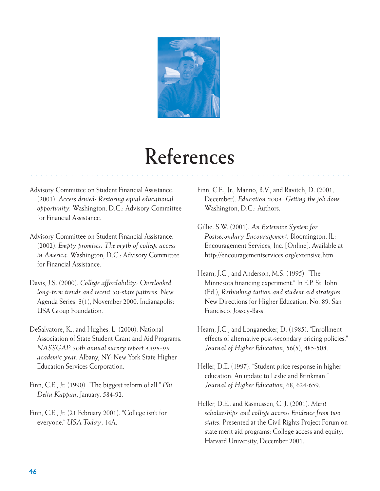

## **References**

○○○○○○○○○○○ ○○○○○○○○○○○○○○○○○○○○○○○○○○○○○○○○○○○○○○○○○○○○○○○○○○○○○

- Advisory Committee on Student Financial Assistance. (2001). *Access denied: Restoring equal educational opportunity.* Washington, D.C.: Advisory Committee for Financial Assistance.
- Advisory Committee on Student Financial Assistance. (2002). *Empty promises: The myth of college access in America.* Washington, D.C.: Advisory Committee for Financial Assistance.
- Davis, J.S. (2000). *College affordability: Overlooked long-term trends and recent 50-state patterns.* New Agenda Series, 3(1), November 2000. Indianapolis: USA Group Foundation.
- DeSalvatore, K., and Hughes, L. (2000). National Association of State Student Grant and Aid Programs. *NASSGAP 30th annual survey report 1998-99 academic year.* Albany, NY: New York State Higher Education Services Corporation.
- Finn, C.E., Jr. (1990). "The biggest reform of all." *Phi Delta Kappan*, January, 584-92.
- Finn, C.E., Jr. (21 February 2001). "College isn't for everyone." *USA Today*, 14A.

Finn, C.E., Jr., Manno, B.V., and Ravitch, D. (2001, December). *Education 2001: Getting the job done.* Washington, D.C.: Authors.

- Gillie, S.W. (2001). *An Extensive System for Postsecondary Encouragement.* Bloomington, IL: Encouragement Services, Inc. [Online]. Available at http://encouragementservices.org/extensive.htm
- Hearn, J.C., and Anderson, M.S. (1995). "The Minnesota financing experiment." In E.P. St. John (Ed.), *Rethinking tuition and student aid strategies.* New Directions for Higher Education, No. 89. San Francisco: Jossey-Bass.
- Hearn, J.C., and Longanecker, D. (1985). "Enrollment effects of alternative post-secondary pricing policies." *Journal of Higher Education*, 56(5), 485-508.
- Heller, D.E. (1997). "Student price response in higher education: An update to Leslie and Brinkman." *Journal of Higher Education*, 68, 624-659.
- Heller, D.E., and Rasmussen, C. J. (2001). *Merit scholarships and college access: Evidence from two states.* Presented at the Civil Rights Project Forum on state merit aid programs: College access and equity, Harvard University, December 2001.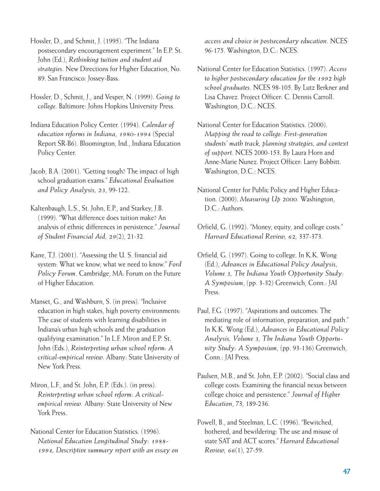Hossler, D., and Schmit, J. (1995). "The Indiana postsecondary encouragement experiment." In E.P. St. John (Ed.), *Rethinking tuition and student aid strategies.* New Directions for Higher Education, No. 89. San Francisco: Jossey-Bass.

Hossler, D., Schmit, J., and Vesper, N. (1999). *Going to college.* Baltimore: Johns Hopkins University Press.

Indiana Education Policy Center. (1994). *Calendar of education reforms in Indiana, 1980-1994* (Special Report SR-B6). Bloomington, Ind., Indiana Education Policy Center.

Jacob, B.A. (2001). "Getting tough? The impact of high school graduation exams." *Educational Evaluation and Policy Analysis, 23*, 99-122.

Kaltenbaugh, L.S., St. John, E.P., and Starkey, J.B. (1999). "What difference does tuition make? An analysis of ethnic differences in persistence." *Journal of Student Financial Aid, 29*(2), 21-32.

Kane, T.J. (2001). "Assessing the U. S. financial aid system: What we know, what we need to know." *Ford Policy Forum.* Cambridge, MA: Forum on the Future of Higher Education.

Manset, G., and Washburn, S. (in press). "Inclusive education in high stakes, high poverty environments: The case of students with learning disabilities in Indiana's urban high schools and the graduation qualifying examination." In L.F. Miron and E.P. St. John (Eds.), *Reinterpreting urban school reform: A critical-empirical review.* Albany: State University of New York Press.

Miron, L.F., and St. John, E.P. (Eds.). (in press). *Reinterpreting urban school reform: A criticalempirical review.* Albany: State University of New York Press.

National Center for Education Statistics. (1996). *National Education Longitudinal Study: 1988- 1994, Descriptive summary report with an essay on* *access and choice in postsecondary education.* NCES 96-175. Washington, D.C.: NCES.

National Center for Education Statistics. (1997). *Access to higher postsecondary education for the 1992 high school graduates.* NCES 98-105. By Lutz Berkner and Lisa Chavez. Project Officer: C. Dennis Carroll. Washington, D.C.: NCES.

National Center for Education Statistics. (2000). *Mapping the road to college: First-generation students' math track, planning strategies, and context of support.* NCES 2000-153. By Laura Horn and Anne-Marie Nunez. Project Officer: Larry Bobbitt. Washington, D.C.: NCES.

National Center for Public Policy and Higher Education. (2000). *Measuring Up 2000.* Washington, D.C.: Authors.

Orfield, G. (1992). "Money, equity, and college costs." *Harvard Educational Review, 62,* 337-373.

Orfield, G. (1997). Going to college. In K.K. Wong (Ed.), *Advances in Educational Policy Analysis, Volume 3, The Indiana Youth Opportunity Study: A Symposium*, (pp. 3-32) Greenwich, Conn.: JAI Press.

Paul, F.G. (1997). "Aspirations and outcomes: The mediating role of information, preparation, and path." In K.K. Wong (Ed.), *Advances in Educational Policy Analysis, Volume 3, The Indiana Youth Opportunity Study: A Symposium*, (pp. 93-136) Greenwich, Conn.: JAI Press.

Paulsen, M.B., and St. John, E.P. (2002). "Social class and college costs: Examining the financial nexus between college choice and persistence." *Journal of Higher Education*, 73, 189-236.

Powell, B., and Steelman, L.C. (1996). "Bewitched, bothered, and bewildering: The use and misuse of state SAT and ACT scores." *Harvard Educational Review, 66*(1), 27-59.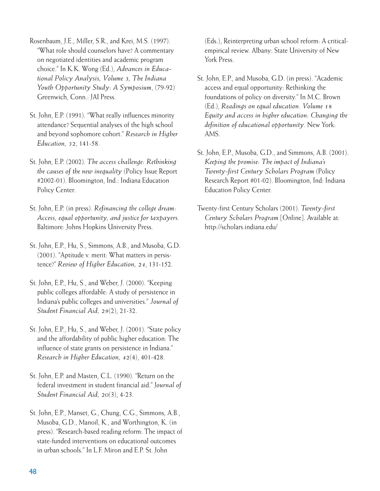Rosenbaum, J.E., Miller, S.R., and Krei, M.S. (1997). "What role should counselors have? A commentary on negotiated identities and academic program choice." In K.K. Wong (Ed.), *Advances in Educational Policy Analysis, Volume 3, The Indiana Youth Opportunity Study: A Symposium*, (79-92) Greenwich, Conn.: JAI Press.

- St. John, E.P. (1991). "What really influences minority attendance? Sequential analyses of the high school and beyond sophomore cohort." *Research in Higher Education, 32*, 141-58.
- St. John, E.P. (2002). *The access challenge: Rethinking the causes of the new inequality* (Policy Issue Report #2002-01). Bloomington, Ind.: Indiana Education Policy Center.
- St. John, E.P. (in press). *Refinancing the college dream: Access, equal opportunity, and justice for taxpayers.* Baltimore: Johns Hopkins University Press.
- St. John, E.P., Hu, S., Simmons, A.B., and Musoba, G.D. (2001). "Aptitude v. merit: What matters in persistence?" *Review of Higher Education, 24*, 131-152.
- St. John, E.P., Hu, S., and Weber, J. (2000). "Keeping public colleges affordable: A study of persistence in Indiana's public colleges and universities." *Journal of Student Financial Aid, 29*(2), 21-32.
- St. John, E.P., Hu, S., and Weber, J. (2001). "State policy and the affordability of public higher education: The influence of state grants on persistence in Indiana." *Research in Higher Education, 42*(4), 401-428.
- St. John, E.P. and Masten, C.L. (1990). "Return on the federal investment in student financial aid." J*ournal of Student Financial Aid, 20*(3), 4-23.
- St. John, E.P., Manset, G., Chung, C.G., Simmons, A.B., Musoba, G.D., Manoil, K., and Worthington, K. (in press). "Research-based reading reform: The impact of state-funded interventions on educational outcomes in urban schools." In L.F. Miron and E.P. St. John

(Eds.), Reinterpreting urban school reform: A criticalempirical review. Albany: State University of New York Press.

- St. John, E.P., and Musoba, G.D. (in press). "Academic access and equal opportunity: Rethinking the foundations of policy on diversity." In M.C. Brown (Ed.), *Readings on equal education. Volume 18 Equity and access in higher education: Changing the definition of educational opportunity.* New York: AMS.
- St. John, E.P., Musoba, G.D., and Simmons, A.B. (2001). *Keeping the promise: The impact of Indiana's Twenty-first Century Scholars Program* (Policy Research Report #01-02). Bloomington, Ind: Indiana Education Policy Center.
- Twenty-first Century Scholars (2001). *Twenty-first Century Scholars Program* [Online]. Available at: http://scholars.indiana.edu/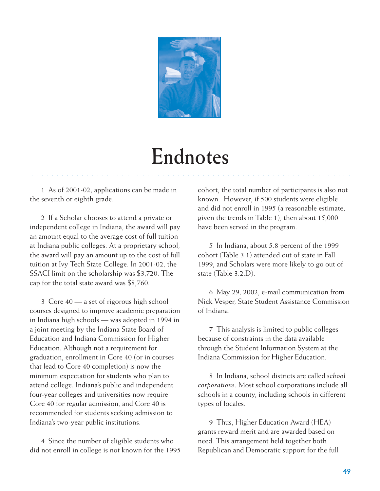

## **Endnotes**

○○○○○○○○○○○○ ○○○○○○○○○○○○○○○○○○○○○○○○○○○○○○○○○○○○○○○○○○○○○○○○○○○○

1 As of 2001-02, applications can be made in the seventh or eighth grade.

2 If a Scholar chooses to attend a private or independent college in Indiana, the award will pay an amount equal to the average cost of full tuition at Indiana public colleges. At a proprietary school, the award will pay an amount up to the cost of full tuition at Ivy Tech State College. In 2001-02, the SSACI limit on the scholarship was \$3,720. The cap for the total state award was \$8,760.

3 Core 40 — a set of rigorous high school courses designed to improve academic preparation in Indiana high schools — was adopted in 1994 in a joint meeting by the Indiana State Board of Education and Indiana Commission for Higher Education. Although not a requirement for graduation, enrollment in Core 40 (or in courses that lead to Core 40 completion) is now the minimum expectation for students who plan to attend college. Indiana's public and independent four-year colleges and universities now require Core 40 for regular admission, and Core 40 is recommended for students seeking admission to Indiana's two-year public institutions.

4 Since the number of eligible students who did not enroll in college is not known for the 1995 cohort, the total number of participants is also not known. However, if 500 students were eligible and did not enroll in 1995 (a reasonable estimate, given the trends in Table 1), then about 15,000 have been served in the program.

5 In Indiana, about 5.8 percent of the 1999 cohort (Table 3.1) attended out of state in Fall 1999, and Scholars were more likely to go out of state (Table 3.2.D).

6 May 29, 2002, e-mail communication from Nick Vesper, State Student Assistance Commission of Indiana.

7 This analysis is limited to public colleges because of constraints in the data available through the Student Information System at the Indiana Commission for Higher Education.

8 In Indiana, school districts are called *school corporations*. Most school corporations include all schools in a county, including schools in different types of locales.

9 Thus, Higher Education Award (HEA) grants reward merit and are awarded based on need. This arrangement held together both Republican and Democratic support for the full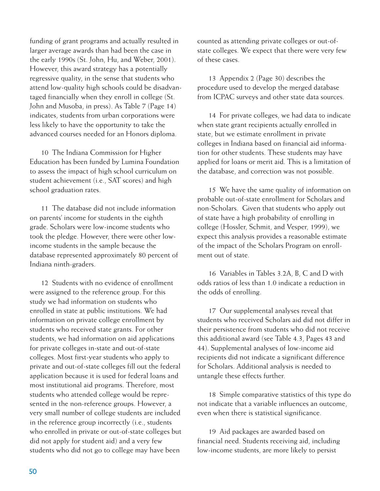funding of grant programs and actually resulted in larger average awards than had been the case in the early 1990s (St. John, Hu, and Weber, 2001). However, this award strategy has a potentially regressive quality, in the sense that students who attend low-quality high schools could be disadvantaged financially when they enroll in college (St. John and Musoba, in press). As Table 7 (Page 14) indicates, students from urban corporations were less likely to have the opportunity to take the advanced courses needed for an Honors diploma.

10 The Indiana Commission for Higher Education has been funded by Lumina Foundation to assess the impact of high school curriculum on student achievement (i.e., SAT scores) and high school graduation rates.

11 The database did not include information on parents' income for students in the eighth grade. Scholars were low-income students who took the pledge. However, there were other lowincome students in the sample because the database represented approximately 80 percent of Indiana ninth-graders.

12 Students with no evidence of enrollment were assigned to the reference group. For this study we had information on students who enrolled in state at public institutions. We had information on private college enrollment by students who received state grants. For other students, we had information on aid applications for private colleges in-state and out-of-state colleges. Most first-year students who apply to private and out-of-state colleges fill out the federal application because it is used for federal loans and most institutional aid programs. Therefore, most students who attended college would be represented in the non-reference groups. However, a very small number of college students are included in the reference group incorrectly (i.e., students who enrolled in private or out-of-state colleges but did not apply for student aid) and a very few students who did not go to college may have been

counted as attending private colleges or out-ofstate colleges. We expect that there were very few of these cases.

13 Appendix 2 (Page 30) describes the procedure used to develop the merged database from ICPAC surveys and other state data sources.

14 For private colleges, we had data to indicate when state grant recipients actually enrolled in state, but we estimate enrollment in private colleges in Indiana based on financial aid information for other students. These students may have applied for loans or merit aid. This is a limitation of the database, and correction was not possible.

15 We have the same quality of information on probable out-of-state enrollment for Scholars and non-Scholars. Given that students who apply out of state have a high probability of enrolling in college (Hossler, Schmit, and Vesper, 1999), we expect this analysis provides a reasonable estimate of the impact of the Scholars Program on enrollment out of state.

16 Variables in Tables 3.2A, B, C and D with odds ratios of less than 1.0 indicate a reduction in the odds of enrolling.

17 Our supplemental analyses reveal that students who received Scholars aid did not differ in their persistence from students who did not receive this additional award (see Table 4.3, Pages 43 and 44). Supplemental analyses of low-income aid recipients did not indicate a significant difference for Scholars. Additional analysis is needed to untangle these effects further.

18 Simple comparative statistics of this type do not indicate that a variable influences an outcome, even when there is statistical significance.

19 Aid packages are awarded based on financial need. Students receiving aid, including low-income students, are more likely to persist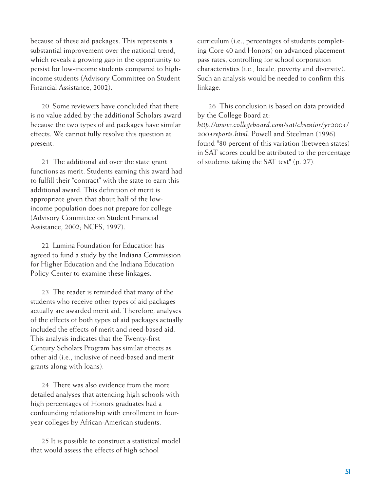because of these aid packages. This represents a substantial improvement over the national trend, which reveals a growing gap in the opportunity to persist for low-income students compared to highincome students (Advisory Committee on Student Financial Assistance, 2002).

20 Some reviewers have concluded that there is no value added by the additional Scholars award because the two types of aid packages have similar effects. We cannot fully resolve this question at present.

21 The additional aid over the state grant functions as merit. Students earning this award had to fulfill their "contract" with the state to earn this additional award. This definition of merit is appropriate given that about half of the lowincome population does not prepare for college (Advisory Committee on Student Financial Assistance, 2002; NCES, 1997).

22 Lumina Foundation for Education has agreed to fund a study by the Indiana Commission for Higher Education and the Indiana Education Policy Center to examine these linkages.

23 The reader is reminded that many of the students who receive other types of aid packages actually are awarded merit aid. Therefore, analyses of the effects of both types of aid packages actually included the effects of merit and need-based aid. This analysis indicates that the Twenty-first Century Scholars Program has similar effects as other aid (i.e., inclusive of need-based and merit grants along with loans).

24 There was also evidence from the more detailed analyses that attending high schools with high percentages of Honors graduates had a confounding relationship with enrollment in fouryear colleges by African-American students.

25 It is possible to construct a statistical model that would assess the effects of high school

curriculum (i.e., percentages of students completing Core 40 and Honors) on advanced placement pass rates, controlling for school corporation characteristics (i.e., locale, poverty and diversity). Such an analysis would be needed to confirm this linkage.

26 This conclusion is based on data provided by the College Board at: *http://www.collegeboard.com/sat/cbsenior/yr2001/ 2001reports.html*. Powell and Steelman (1996) found "80 percent of this variation (between states) in SAT scores could be attributed to the percentage of students taking the SAT test" (p. 27).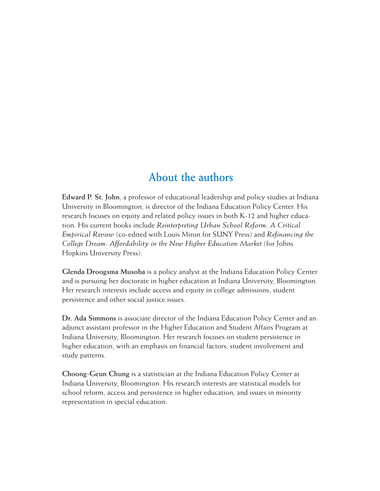### **About the authors**

**Edward P. St. John**, a professor of educational leadership and policy studies at Indiana University in Bloomington, is director of the Indiana Education Policy Center. His research focuses on equity and related policy issues in both K-12 and higher education. His current books include *Reinterpreting Urban School Reform: A Critical Empirical Review* (co-edited with Louis Miron for SUNY Press) and *Refinancing the College Dream: Affordability in the New Higher Education Market* (for Johns Hopkins University Press).

**Glenda Droogsma Musoba** is a policy analyst at the Indiana Education Policy Center and is pursuing her doctorate in higher education at Indiana University, Bloomington. Her research interests include access and equity in college admissions, student persistence and other social justice issues.

**Dr. Ada Simmons** is associate director of the Indiana Education Policy Center and an adjunct assistant professor in the Higher Education and Student Affairs Program at Indiana University, Bloomington. Her research focuses on student persistence in higher education, with an emphasis on financial factors, student involvement and study patterns.

**Choong-Geun Chung** is a statistician at the Indiana Education Policy Center at Indiana University, Bloomington. His research interests are statistical models for school reform, access and persistence in higher education, and issues in minority representation in special education.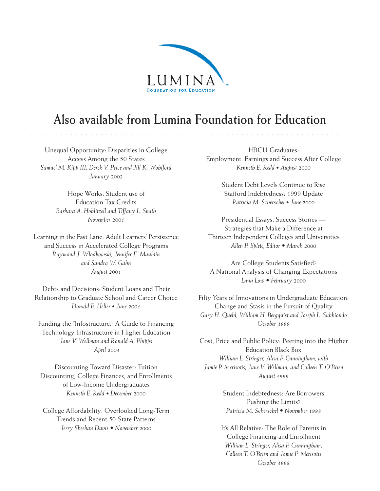

### **Also available from Lumina Foundation for Education**

○○○○○○○○○○○ ○○○○○○○○○○○○○○○○○○○○○○○○○○○○○○○○○○○○○○○○○○○○○○○○○○○○○

Unequal Opportunity: Disparities in College Access Among the 50 States *Samuel M. Kipp III, Derek V. Price and Jill K. Wohlford January 2002*

> Hope Works: Student use of Education Tax Credits *Barbara A. Hoblitzell and Tiffany L. Smith November 2001*

Learning in the Fast Lane: Adult Learners' Persistence and Success in Accelerated College Programs *Raymond J. Wlodkowski, Jennifer E. Mauldin and Sandra W. Gahn August 2001*

Debts and Decisions: Student Loans and Their Relationship to Graduate School and Career Choice *Donald E. Heller • June 2001*

Funding the "Infostructure:" A Guide to Financing Technology Infrastructure in Higher Education *Jane V. Wellman and Ronald A. Phipps April 2001*

Discounting Toward Disaster: Tuition Discounting, College Finances, and Enrollments of Low-Income Undergraduates *Kenneth E. Redd • December 2000*

College Affordability: Overlooked Long-Term Trends and Recent 50-State Patterns *Jerry Sheehan Davis • November 2000*

HBCU Graduates: Employment, Earnings and Success After College *Kenneth E. Redd • August 2000*

> Student Debt Levels Continue to Rise Stafford Indebtedness: 1999 Update *Patricia M. Scherschel • June 2000*

Presidential Essays: Success Stories — Strategies that Make a Difference at Thirteen Independent Colleges and Universities *Allen P. Splete, Editor • March 2000*

Are College Students Satisfied? A National Analysis of Changing Expectations *Lana Low • February 2000*

Fifty Years of Innovations in Undergraduate Education: Change and Stasis in the Pursuit of Quality *Gary H. Quehl, William H. Bergquist and Joseph L. Subbiondo October 1999*

Cost, Price and Public Policy: Peering into the Higher Education Black Box *William L. Stringer, Alisa F. Cunningham, with Jamie P. Merisotis, Jane V. Wellman, and Colleen T. O'Brien August 1999*

> Student Indebtedness: Are Borrowers Pushing the Limits? *Patricia M. Scherschel • November 1998*

It's All Relative: The Role of Parents in College Financing and Enrollment *William L. Stringer, Alisa F. Cunningham, Colleen T. O'Brien and Jamie P. Merisotis October 1998*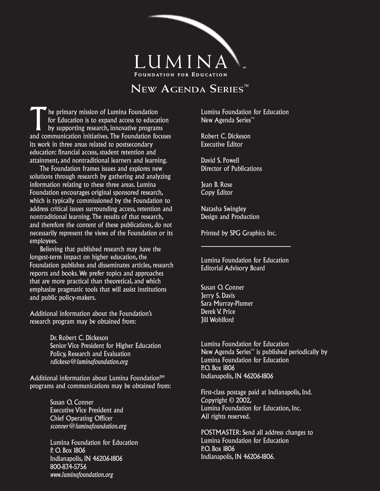

#### **NEW AGENDA SERIES™**

The primary mission of Lumina Foundation<br>
for Education is to expand access to education<br>
by supporting research, innovative programs<br>
by supporting research, innovative programs for Education is to expand access to education and communication initiatives. The Foundation focuses its work in three areas related to postsecondary education: financial access, student retention and attainment, and nontraditional learners and learning.

 The Foundation frames issues and explores new solutions through research by gathering and analyzing information relating to these three areas. Lumina Foundation encourages original sponsored research, which is typically commissioned by the Foundation to address critical issues surrounding access, retention and nontraditional learning. The results of that research, and therefore the content of these publications, do not necessarily represent the views of the Foundation or its employees.

 Believing that published research may have the longest-term impact on higher education, the Foundation publishes and disseminates articles, research reports and books. We prefer topics and approaches that are more practical than theoretical, and which emphasize pragmatic tools that will assist institutions and public policy-makers.

Additional information about the Foundation's research program may be obtained from:

> Dr. Robert C. Dickeson Senior Vice President for Higher Education Policy, Research and Evaluation *rdickeso@luminafoundation.org*

Additional information about Lumina Foundation $S<sup>M</sup>$ programs and communications may be obtained from:

> Susan O. Conner Executive Vice President and Chief Operating Officer *sconner@luminafoundation.org*

Lumina Foundation for Education P. O. Box 1806 Indianapolis, IN 46206-1806 800-834-5756 *www.luminafoundation.org*

Lumina Foundation for Education New Agenda Series™

Robert C. Dickeson Executive Editor

David S. Powell Director of Publications

Jean B. Rose Copy Editor

Natasha Swingley Design and Production

Printed by SPG Graphics Inc.

Lumina Foundation for Education Editorial Advisory Board

Susan O. Conner Jerry S. Davis Sara Murray-Plumer Derek V. Price Jill Wohlford

Lumina Foundation for Education New Agenda Series™ is published periodically by Lumina Foundation for Education P.O. Box 1806 Indianapolis, IN 46206-1806

First-class postage paid at Indianapolis, Ind. Copyright © 2002, Lumina Foundation for Education, Inc. All rights reserved.

POSTMASTER: Send all address changes to Lumina Foundation for Education P.O. Box 1806 Indianapolis, IN 46206-1806.